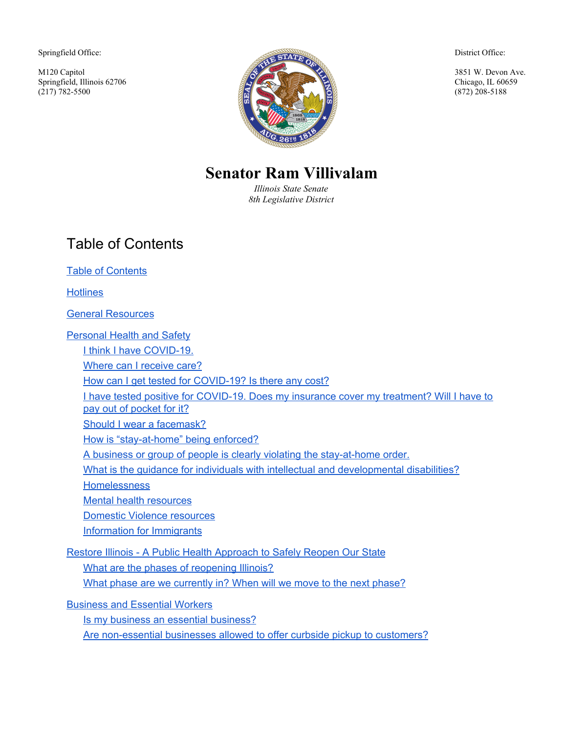Springfield Office:

M120 Capitol Springfield, Illinois 62706  $(217)$  782-5500



District Office:

3851 W. Devon Ave. Chicago, IL 60659 (872) 208-5188

# **Senator Ram Villivalam**

*Illinois State Senate 8th Legislative District*

# <span id="page-0-0"></span>Table of Contents

Table of [Contents](#page-0-0)

**[Hotlines](#page-5-0)** 

General [Resources](#page-6-0)

**[Personal](#page-7-0) Health and Safety** I think I have [COVID-19.](#page-7-1) Where can I [receive](#page-7-2) care? How can I get tested for [COVID-19?](#page-8-0) Is there any cost? I have tested positive for [COVID-19.](#page-9-0) Does my insurance cover my treatment? Will I have to pay out of [pocket](#page-9-0) for it? Should I wear a [facemask?](#page-9-1) How is ["stay-at-home"](#page-9-2) being enforced? A business or group of people is clearly violating the [stay-at-home](#page-10-0) order. What is the guidance for individuals with intellectual and developmental disabilities? **[Homelessness](#page-10-1)** Mental health [resources](#page-11-0) Domestic Violence [resources](#page-12-0) [Information](#page-13-0) for Immigrants Restore Illinois - A Public Health [Approach](#page-14-0) to Safely Reopen Our State What are the phases of [reopening](#page-14-1) Illinois? What phase are we [currently](#page-16-0) in? When will we move to the next phase?

[Business](#page-17-0) and Essential Workers

Is my business an essential business?

Are non-essential businesses allowed to offer curbside pickup to customers?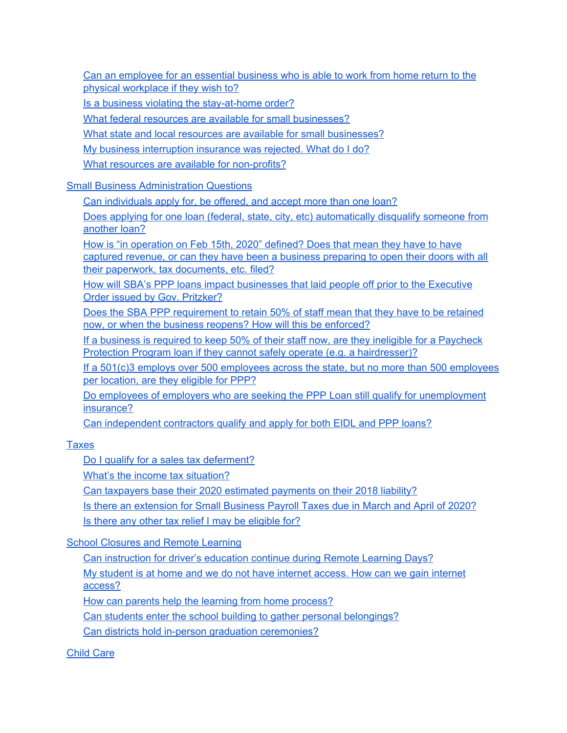Can an employee for an essential business who is able to work from home return to the physical workplace if they wish to?

Is a business violating the [stay-at-home](#page-17-1) order?

What federal resources are available for small [businesses?](#page-21-0)

What state and local resources are available for small [businesses?](#page-17-2)

My business [interruption](#page-18-0) insurance was rejected. What do I do?

What resources are available for [non-profits?](#page-18-1)

#### Small Business [Administration](#page-21-1) Questions

Can individuals apply for, be offered, and accept more than one loan?

Does applying for one loan (federal, state, city, etc) [automatically](#page-23-0) disqualify someone from [another](#page-23-0) loan?

How is "in [operation](#page-23-1) on Feb 15th, 2020" defined? Does that mean they have to have captured revenue, or can they have been a business [preparing](#page-23-1) to open their doors with all their paperwork, tax [documents,](#page-23-1) etc. filed?

How will SBA's PPP loans impact [businesses](#page-23-2) that laid people off prior to the Executive Order issued by Gov. [Pritzker?](#page-23-2)

Does the SBA PPP [requirement](#page-23-3) to retain 50% of staff mean that they have to be retained now, or when the business reopens? How will this be [enforced?](#page-23-3)

If a business is required to keep 50% of their staff now, are they ineligible for a [Paycheck](#page-24-0) Protection Program loan if they cannot safely operate (e.g. a [hairdresser\)?](#page-24-0)

If a 501(c)3 employs over 500 employees across the state, but no more than 500 [employees](#page-24-1) per [location,](#page-24-1) are they eligible for PPP?

Do employees of employers who are seeking the PPP Loan still qualify for [unemployment](#page-24-2) [insurance?](#page-24-2)

Can [independent](#page-24-3) contractors qualify and apply for both EIDL and PPP loans?

#### [Taxes](#page-25-0)

Do I qualify for a sales tax [deferment?](#page-25-1)

What's the income tax [situation?](#page-25-2)

Can taxpayers base their 2020 estimated [payments](#page-25-3) on their 2018 liability?

Is there an [extension](#page-25-4) for Small Business Payroll Taxes due in March and April of 2020? Is there any other tax relief I may be [eligible](#page-26-0) for?

#### School [Closures](#page-26-1) and Remote Learning

Can [instruction](#page-26-2) for driver's education continue during Remote Learning Days? My student is at home and we do not have internet [access.](#page-26-3) How can we gain internet

[access?](#page-26-3)

How can parents help the learning from home [process?](#page-27-0)

Can students enter the school building to gather personal [belongings?](#page-27-1)

Can districts hold in-person graduation [ceremonies?](#page-27-2)

[Child](#page-27-3) Care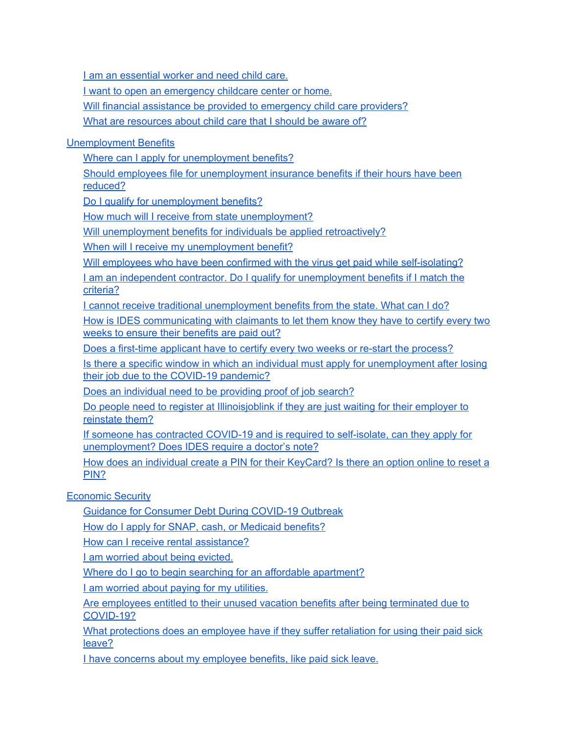I am an [essential](#page-27-4) worker and need child care.

I want to open an [emergency](#page-28-0) childcare center or home.

Will financial assistance be provided to [emergency](#page-28-1) child care providers?

What are [resources](#page-29-0) about child care that I should be aware of?

#### [Unemployment](#page-30-0) Benefits

Where can I apply for [unemployment](#page-30-1) benefits?

Should employees file for [unemployment](#page-31-0) insurance benefits if their hours have been [reduced?](#page-31-0)

Do I qualify for [unemployment](#page-31-1) benefits?

How much will I receive from state [unemployment?](#page-31-2)

Will [unemployment](#page-32-0) benefits for individuals be applied retroactively?

When will I receive my [unemployment](#page-32-1) benefit?

Will employees who have been confirmed with the virus get paid while [self-isolating?](#page-32-2)

I am an independent contractor. Do I qualify for [unemployment](#page-33-0) benefits if I match the [criteria?](#page-33-0)

I cannot receive traditional [unemployment](#page-33-1) benefits from the state. What can I do?

How is IDES [communicating](#page-34-0) with claimants to let them know they have to certify every two weeks to ensure their [benefits](#page-34-0) are paid out?

Does a first-time applicant have to certify every two weeks or re-start the [process?](#page-34-1)

Is there a specific window in which an individual must apply for [unemployment](#page-34-2) after losing their job due to the COVID-19 [pandemic?](#page-34-2)

Does an [individual](#page-34-3) need to be providing proof of job search?

Do people need to register at [Illinoisjoblink](#page-35-0) if they are just waiting for their employer to [reinstate](#page-35-0) them?

If someone has contracted COVID-19 and is required to [self-isolate,](#page-35-1) can they apply for [unemployment?](#page-35-1) Does IDES require a doctor's note?

How does an individual create a PIN for their [KeyCard?](#page-35-2) Is there an option online to reset a [PIN?](#page-35-2)

[Economic](#page-35-3) Security

Guidance for [Consumer](#page-35-4) Debt During COVID-19 Outbreak

How do I apply for SNAP, cash, or Medicaid [benefits?](#page-35-5)

How can I receive rental [assistance?](#page-36-0)

I am worried about being [evicted.](#page-36-1)

Where do I go to begin searching for an affordable [apartment?](#page-36-2)

I am worried about paying for my [utilities.](#page-36-3)

Are [employees](#page-37-0) entitled to their unused vacation benefits after being terminated due to [COVID-19?](#page-37-0)

What [protections](#page-37-1) does an employee have if they suffer retaliation for using their paid sick [leave?](#page-37-1)

I have concerns about my [employee](#page-37-2) benefits, like paid sick leave.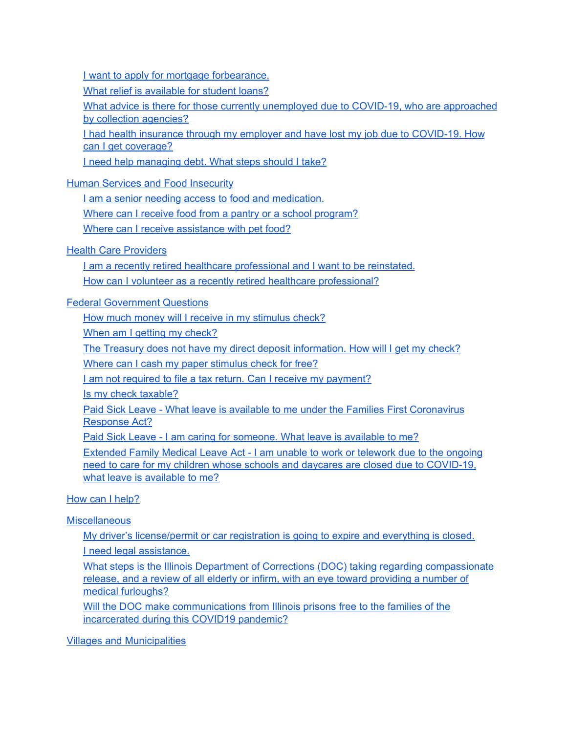I want to apply for mortgage [forbearance.](#page-37-3)

What relief is [available](#page-38-0) for student loans?

What advice is there for those currently [unemployed](#page-39-0) due to COVID-19, who are approached by collection [agencies?](#page-39-0)

I had health insurance through my employer and have lost my job due to [COVID-19.](#page-39-1) How can I get [coverage?](#page-39-1)

I need help [managing](#page-40-0) debt. What steps should I take?

Human Services and Food [Insecurity](#page-40-1)

I am a senior needing access to food and [medication.](#page-40-2)

Where can I receive food from a pantry or a school [program?](#page-40-3)

Where can I receive [assistance](#page-41-0) with pet food?

## Health Care [Providers](#page-43-0)

I am a recently retired healthcare [professional](#page-43-1) and I want to be reinstated. How can I volunteer as a recently retired healthcare [professional?](#page-43-2)

## Federal [Government](#page-43-3) Questions

How much money will I receive in my [stimulus](#page-43-4) check?

When am I getting my [check?](#page-44-0)

The Treasury does not have my direct deposit [information.](#page-44-1) How will I get my check?

Where can I cash my paper [stimulus](#page-44-2) check for free?

I am not required to file a tax return. Can I receive my [payment?](#page-45-0)

Is my check [taxable?](#page-45-1)

Paid Sick Leave - What leave is available to me under the Families First [Coronavirus](#page-45-2) [Response](#page-45-2) Act?

Paid Sick Leave - I am caring for [someone.](#page-45-3) What leave is available to me?

[Extended](#page-46-0) Family Medical Leave Act - I am unable to work or telework due to the ongoing need to care for my children whose schools and daycares are closed due to [COVID-19,](#page-46-0) what leave is [available](#page-46-0) to me?

## How can I [help?](#page-47-0)

## **[Miscellaneous](#page-48-0)**

My driver's [license/permit](#page-48-1) or car registration is going to expire and everything is closed. I need legal [assistance.](#page-48-2)

What steps is the Illinois Department of Corrections (DOC) taking regarding [compassionate](#page-48-3) release, and a review of all elderly or infirm, with an eye toward [providing](#page-48-3) a number of medical [furloughs?](#page-48-3)

Will the DOC make [communications](#page-49-0) from Illinois prisons free to the families of the [incarcerated](#page-49-0) during this COVID19 pandemic?

Villages and [Municipalities](#page-49-1)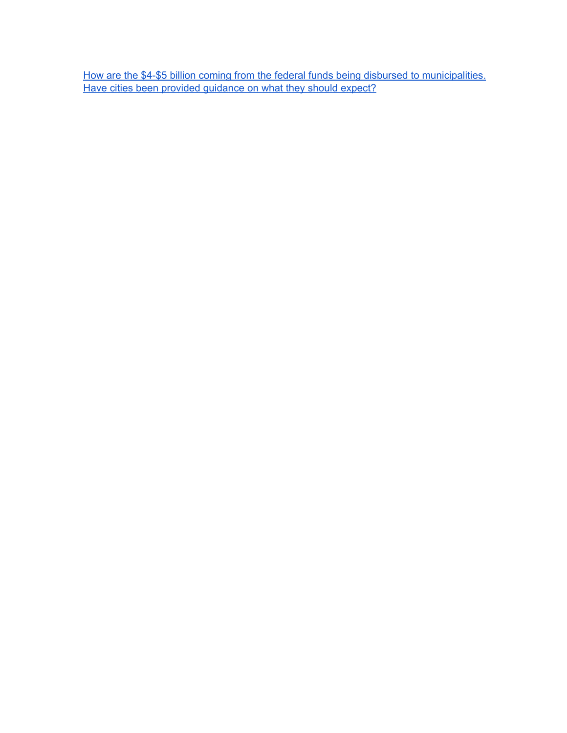How are the \$4-\$5 billion coming from the federal funds being disbursed to [municipalities.](#page-49-2) Have cities been provided [guidance](#page-49-2) on what they should expect?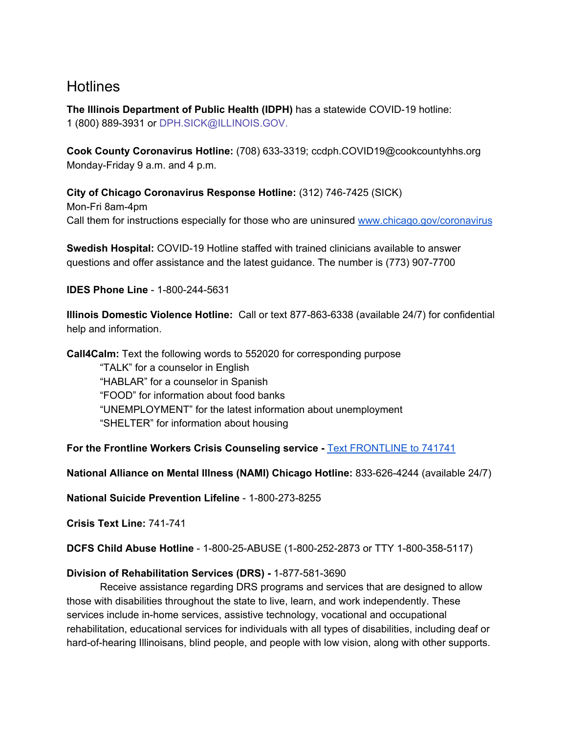# <span id="page-5-0"></span>**Hotlines**

**The Illinois Department of Public Health (IDPH)** has a statewide COVID-19 hotline: 1 (800) 889-3931 or DPH.SICK@ILLINOIS.GOV.

**Cook County Coronavirus Hotline:** (708) 633-3319; ccdph.COVID19@cookcountyhhs.org Monday-Friday 9 a.m. and 4 p.m.

**City of Chicago Coronavirus Response Hotline:** (312) 746-7425 (SICK) Mon-Fri 8am-4pm Call them for instructions especially for those who are uninsured [www.chicago.gov/coronavirus](http://www.chicago.gov/coronavirus)

**Swedish Hospital:** COVID-19 Hotline staffed with trained clinicians available to answer questions and offer assistance and the latest guidance. The number is (773) 907-7700

**IDES Phone Line** - 1-800-244-5631

**Illinois Domestic Violence Hotline:** Call or text 877-863-6338 (available 24/7) for confidential help and information.

**Call4Calm:** Text the following words to 552020 for corresponding purpose "TALK" for a counselor in English "HABLAR" for a counselor in Spanish "FOOD" for information about food banks "UNEMPLOYMENT" for the latest information about unemployment "SHELTER" for information about housing

**For the Frontline Workers Crisis Counseling service -** [Text](https://www.forthefrontlines.org/) [FRONTLINE](https://www.forthefrontlines.org/) to 741741

**National Alliance on Mental Illness (NAMI) Chicago Hotline:** 833-626-4244 (available 24/7)

**National Suicide Prevention Lifeline** - 1-800-273-8255

**Crisis Text Line:** 741-741

**DCFS Child Abuse Hotline** - 1-800-25-ABUSE (1-800-252-2873 or TTY 1-800-358-5117)

#### **Division of Rehabilitation Services (DRS) -** 1-877-581-3690

Receive assistance regarding DRS programs and services that are designed to allow those with disabilities throughout the state to live, learn, and work independently. These services include in-home services, assistive technology, vocational and occupational rehabilitation, educational services for individuals with all types of disabilities, including deaf or hard-of-hearing Illinoisans, blind people, and people with low vision, along with other supports.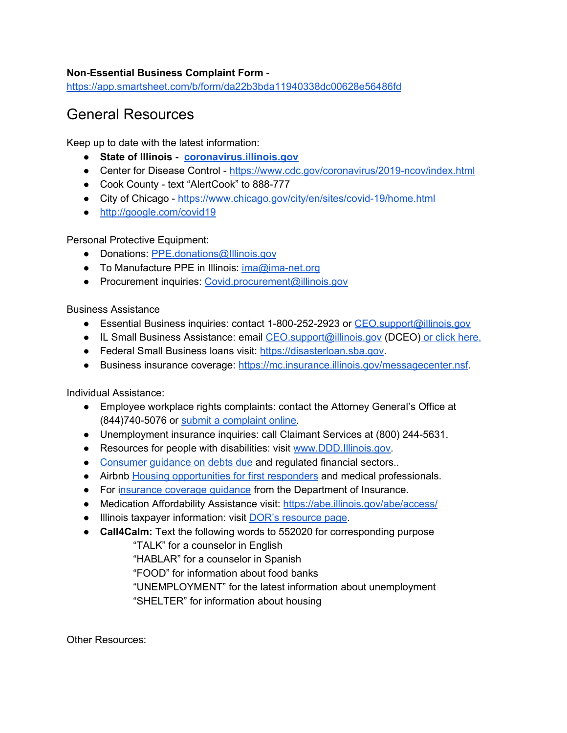#### **Non-Essential Business Complaint Form** -

<https://app.smartsheet.com/b/form/da22b3bda11940338dc00628e56486fd>

# <span id="page-6-0"></span>General Resources

Keep up to date with the latest information:

- **● State of Illinois - [coronavirus.illinois.gov](http://coronavirus.illinois.gov/)**
- Center for Disease Control <https://www.cdc.gov/coronavirus/2019-ncov/index.html>
- Cook County text "AlertCook" to 888-777
- City of Chicago <https://www.chicago.gov/city/en/sites/covid-19/home.html>
- <http://google.com/covid19>

Personal Protective Equipment:

- Donations: [PPE.donations@Illinois.gov](mailto:PPE.donations@Illinois.gov)
- To Manufacture PPE in Illinois: [ima@ima-net.org](mailto:ima@ima-net.org)
- Procurement inquiries: [Covid.procurement@illinois.gov](mailto:Covid.procurement@illinois.gov)

Business Assistance

- Essential Business inquiries: contact 1-800-252-2923 or [CEO.support@illinois.gov](mailto:CEO.support@illinois.gov)
- IL Small Business Assistance: email [CEO.support@illinois.gov](mailto:CEO.support@illinois.gov) (DCEO) or click [here.](https://www2.illinois.gov/dceo/SmallBizAssistance/Pages/Coronavirus-Disease-2019-%28COVID-19%29-Information-for-Small-Business.aspx)
- Federal Small Business loans visit: [https://disasterloan.sba.gov.](https://disasterloan.sba.gov/)
- Business insurance coverage: [https://mc.insurance.illinois.gov/messagecenter.nsf.](https://mc.insurance.illinois.gov/messagecenter.nsf)

Individual Assistance:

- Employee workplace rights complaints: contact the Attorney General's Office at (844)740-5076 or submit a [complaint](https://illinoisattorneygeneral.gov/rights/labor_employ.html) online.
- Unemployment insurance inquiries: call Claimant Services at (800) 244-5631.
- Resources for people with disabilities: visit [www.DDD.Illinois.gov](http://www.ddd.illinois.gov/).
- [Consumer](https://www.idfpr.com/News/2020/2020%2003%2030%20IDFPR%20financial%20guidance.pdf) quidance on debts due and regulated financial sectors..
- Airbnb Housing [opportunities](https://www.airbnb.com/login?redirect_url=%2Fdynamic_flows%2Fcovid19relief_guests_info%2F76575884) for first responders and medical professionals.
- For insurance [coverage](https://insurance.illinois.gov/healthInsurance/COVID-19.html) guidance from the Department of Insurance.
- Medication Affordability Assistance visit: <https://abe.illinois.gov/abe/access/>
- Illinois taxpayer information: visit DOR's [resource](https://www2.illinois.gov/rev/Pages/Taxpayer-Resources-during-COVID-19-%28Coronavirus%29-Outbreak.aspx) page.
- **Call4Calm:** Text the following words to 552020 for corresponding purpose

"TALK" for a counselor in English

"HABLAR" for a counselor in Spanish

"FOOD" for information about food banks

"UNEMPLOYMENT" for the latest information about unemployment

"SHELTER" for information about housing

Other Resources: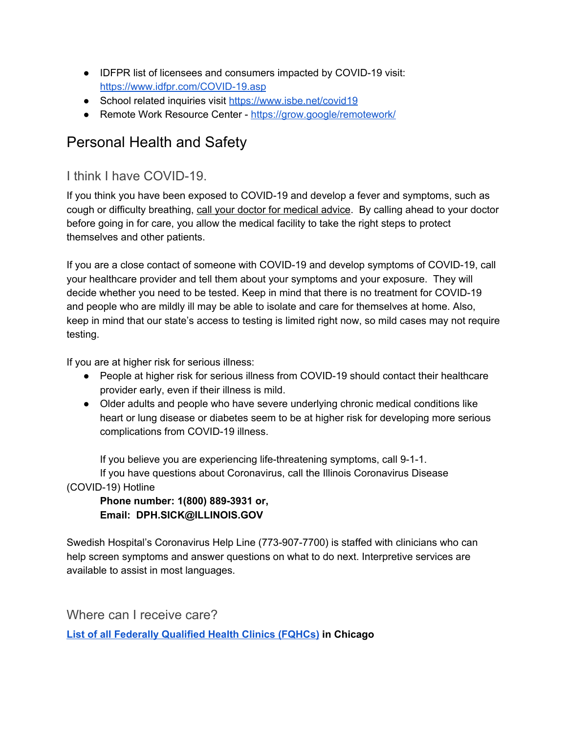- IDFPR list of licensees and consumers impacted by COVID-19 visit: <https://www.idfpr.com/COVID-19.asp>
- School related inquiries visit <https://www.isbe.net/covid19>
- Remote Work Resource Center <https://grow.google/remotework/>

# <span id="page-7-0"></span>Personal Health and Safety

## <span id="page-7-1"></span>I think I have COVID-19.

If you think you have been exposed to COVID-19 and develop a fever and symptoms, such as cough or difficulty breathing, call your doctor for medical advice. By calling ahead to your doctor before going in for care, you allow the medical facility to take the right steps to protect themselves and other patients.

If you are a close contact of someone with COVID-19 and develop symptoms of COVID-19, call your healthcare provider and tell them about your symptoms and your exposure. They will decide whether you need to be tested. Keep in mind that there is no treatment for COVID-19 and people who are mildly ill may be able to isolate and care for themselves at home. Also, keep in mind that our state's access to testing is limited right now, so mild cases may not require testing.

If you are at higher risk for serious illness:

- People at higher risk for serious illness from COVID-19 should contact their healthcare provider early, even if their illness is mild.
- Older adults and people who have severe underlying chronic medical conditions like heart or lung disease or diabetes seem to be at higher risk for developing more serious complications from COVID-19 illness.

If you believe you are experiencing life-threatening symptoms, call 9-1-1. If you have questions about Coronavirus, call the Illinois Coronavirus Disease (COVID-19) Hotline

**Phone number: 1(800) 889-3931 or, Email: DPH.SICK@ILLINOIS.GOV**

Swedish Hospital's Coronavirus Help Line (773-907-7700) is staffed with clinicians who can help screen symptoms and answer questions on what to do next. Interpretive services are available to assist in most languages.

<span id="page-7-2"></span>Where can I receive care?

**List of all [Federally](https://npidb.org/organizations/ambulatory_health_care/federally-qualified-health-centerfqhc_261qf0400x/il/?location=chicago&page=2) Qualified Health Clinics (FQHCs) in Chicago**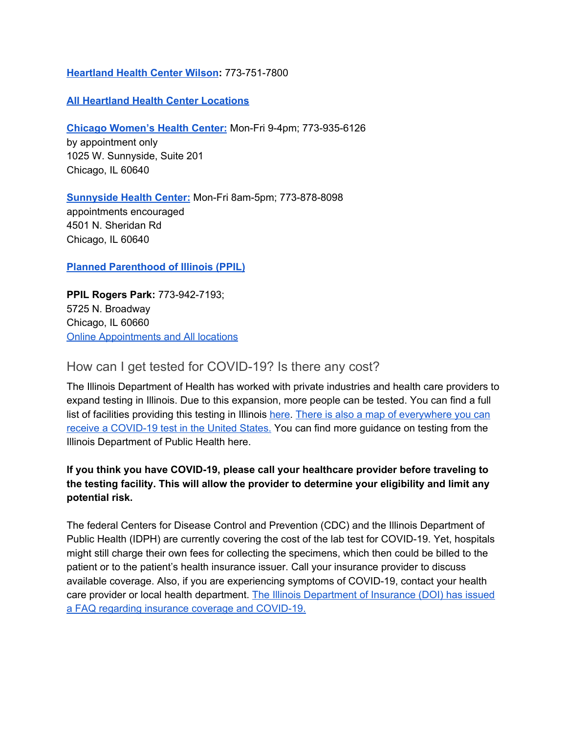#### **[Heartland](https://www.heartlandhealthcenters.org/locations/hhc-wilson/) Health Center Wilson:** 773-751-7800

#### **All Heartland Health Center [Locations](https://www.heartlandhealthcenters.org/locations/)**

**Chicago [Women's](http://www.chicagowomenshealthcenter.org/) Health Center:** Mon-Fri 9-4pm; 773-935-6126

by appointment only 1025 W. Sunnyside, Suite 201 Chicago, IL 60640

**[Sunnyside](https://www.nearnorthhealth.org/sunnyside-health-center) Health Center:** Mon-Fri 8am-5pm; 773-878-8098 appointments encouraged 4501 N. Sheridan Rd Chicago, IL 60640

**Planned [Parenthood](https://www.plannedparenthood.org/planned-parenthood-illinois) of Illinois (PPIL)**

**PPIL Rogers Park:** 773-942-7193; 5725 N. Broadway Chicago, IL 60660 Online [Appointments](https://www.plannedparenthood.org/plannedparenthood-illinois/locations) and All locations

## <span id="page-8-0"></span>How can I get tested for COVID-19? Is there any cost?

The Illinois Department of Health has worked with private industries and health care providers to expand testing in Illinois. Due to this expansion, more people can be tested. You can find a full list of facilities providing this testing in Illinois [here.](http://dph.illinois.gov/covid19/covid-19-testing-sites) There is also a map of [everywhere](https://giscorps.maps.arcgis.com/apps/webappviewer/index.html?id=2ec47819f57c40598a4eaf45bf9e0d16) you can receive a [COVID-19](https://giscorps.maps.arcgis.com/apps/webappviewer/index.html?id=2ec47819f57c40598a4eaf45bf9e0d16) test in the United States. You can find more guidance on testing from the Illinois Department of Public Health here.

## **If you think you have COVID-19, please call your healthcare provider before traveling to the testing facility. This will allow the provider to determine your eligibility and limit any potential risk.**

The federal Centers for Disease Control and Prevention (CDC) and the Illinois Department of Public Health (IDPH) are currently covering the cost of the lab test for COVID-19. Yet, hospitals might still charge their own fees for collecting the specimens, which then could be billed to the patient or to the patient's health insurance issuer. Call your insurance provider to discuss available coverage. Also, if you are experiencing symptoms of COVID-19, contact your health care provider or local health department. The Illinois [Department](https://insurance.illinois.gov/Newsrls/2020/03/COVID-19-FAQ.pdf) of Insurance (DOI) has issued a FAQ regarding insurance coverage and [COVID-19.](https://insurance.illinois.gov/Newsrls/2020/03/COVID-19-FAQ.pdf)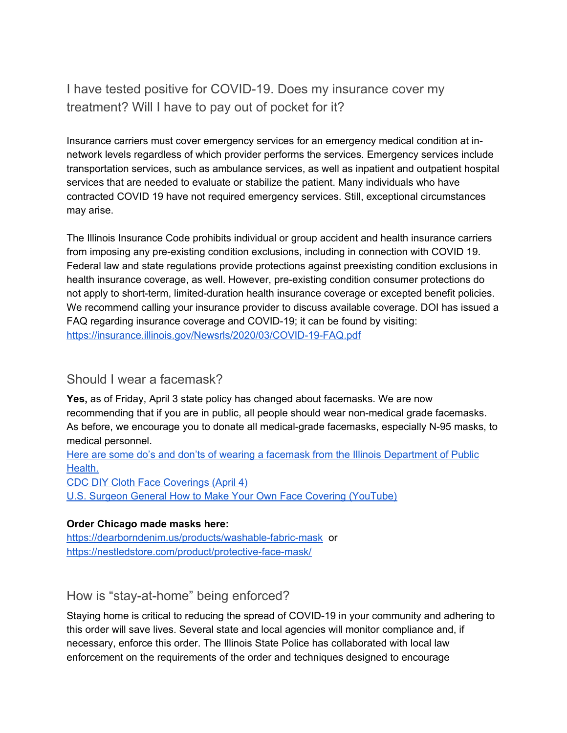# <span id="page-9-0"></span>I have tested positive for COVID-19. Does my insurance cover my treatment? Will I have to pay out of pocket for it?

Insurance carriers must cover emergency services for an emergency medical condition at innetwork levels regardless of which provider performs the services. Emergency services include transportation services, such as ambulance services, as well as inpatient and outpatient hospital services that are needed to evaluate or stabilize the patient. Many individuals who have contracted COVID 19 have not required emergency services. Still, exceptional circumstances may arise.

The Illinois Insurance Code prohibits individual or group accident and health insurance carriers from imposing any pre-existing condition exclusions, including in connection with COVID 19. Federal law and state regulations provide protections against preexisting condition exclusions in health insurance coverage, as well. However, pre-existing condition consumer protections do not apply to short-term, limited-duration health insurance coverage or excepted benefit policies. We recommend calling your insurance provider to discuss available coverage. DOI has issued a FAQ regarding insurance coverage and COVID-19; it can be found by visiting: <https://insurance.illinois.gov/Newsrls/2020/03/COVID-19-FAQ.pdf>

## <span id="page-9-1"></span>Should I wear a facemask?

**Yes,** as of Friday, April 3 state policy has changed about facemasks. We are now recommending that if you are in public, all people should wear non-medical grade facemasks. As before, we encourage you to donate all medical-grade facemasks, especially N-95 masks, to medical personnel.

Here are some do's and don'ts of wearing a facemask from the Illinois [Department](https://drive.google.com/file/d/1bOJfW19rjrMYZySGIQv6HLBUq6QyPale/view?usp=sharing) of Public [Health.](https://drive.google.com/file/d/1bOJfW19rjrMYZySGIQv6HLBUq6QyPale/view?usp=sharing)

CDC DIY Cloth Face [Coverings](https://www.cdc.gov/coronavirus/2019-ncov/prevent-getting-sick/diy-cloth-face-coverings.html) (April 4) U.S. Surgeon General How to Make Your Own Face Covering [\(YouTube\)](https://youtu.be/tPx1yqvJgf4)

## **Order Chicago made masks here:**

<https://dearborndenim.us/products/washable-fabric-mask> or <https://nestledstore.com/product/protective-face-mask/>

<span id="page-9-2"></span>How is "stay-at-home" being enforced?

Staying home is critical to reducing the spread of COVID-19 in your community and adhering to this order will save lives. Several state and local agencies will monitor compliance and, if necessary, enforce this order. The Illinois State Police has collaborated with local law enforcement on the requirements of the order and techniques designed to encourage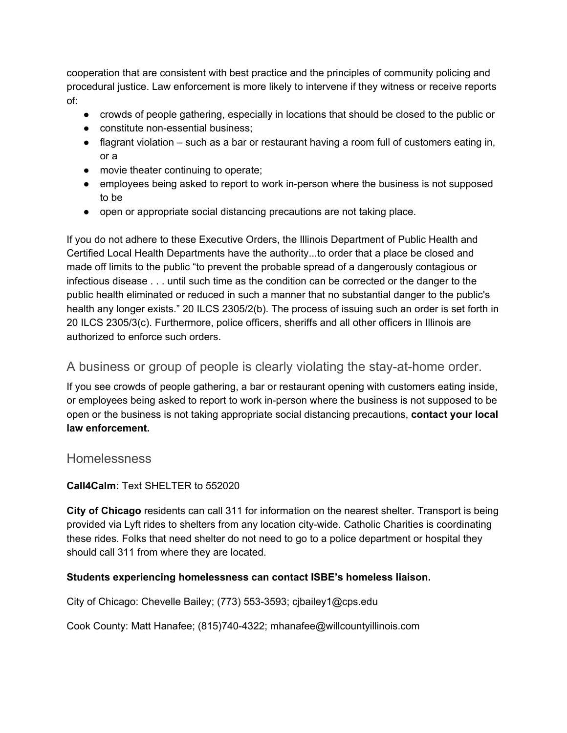cooperation that are consistent with best practice and the principles of community policing and procedural justice. Law enforcement is more likely to intervene if they witness or receive reports of:

- crowds of people gathering, especially in locations that should be closed to the public or
- constitute non-essential business;
- flagrant violation such as a bar or restaurant having a room full of customers eating in, or a
- movie theater continuing to operate;
- employees being asked to report to work in-person where the business is not supposed to be
- open or appropriate social distancing precautions are not taking place.

If you do not adhere to these Executive Orders, the Illinois Department of Public Health and Certified Local Health Departments have the authority...to order that a place be closed and made off limits to the public "to prevent the probable spread of a dangerously contagious or infectious disease . . . until such time as the condition can be corrected or the danger to the public health eliminated or reduced in such a manner that no substantial danger to the public's health any longer exists." 20 ILCS 2305/2(b). The process of issuing such an order is set forth in 20 ILCS 2305/3(c). Furthermore, police officers, sheriffs and all other officers in Illinois are authorized to enforce such orders.

## <span id="page-10-0"></span>A business or group of people is clearly violating the stay-at-home order.

If you see crowds of people gathering, a bar or restaurant opening with customers eating inside, or employees being asked to report to work in-person where the business is not supposed to be open or the business is not taking appropriate social distancing precautions, **contact your local law enforcement.**

## <span id="page-10-1"></span>**Homelessness**

## **Call4Calm:** Text SHELTER to 552020

**City of Chicago** residents can call 311 for information on the nearest shelter. Transport is being provided via Lyft rides to shelters from any location city-wide. Catholic Charities is coordinating these rides. Folks that need shelter do not need to go to a police department or hospital they should call 311 from where they are located.

## **Students experiencing homelessness can contact ISBE's homeless liaison.**

City of Chicago: Chevelle Bailey; (773) 553-3593; cjbailey1@cps.edu

Cook County: Matt Hanafee; (815)740-4322; mhanafee@willcountyillinois.com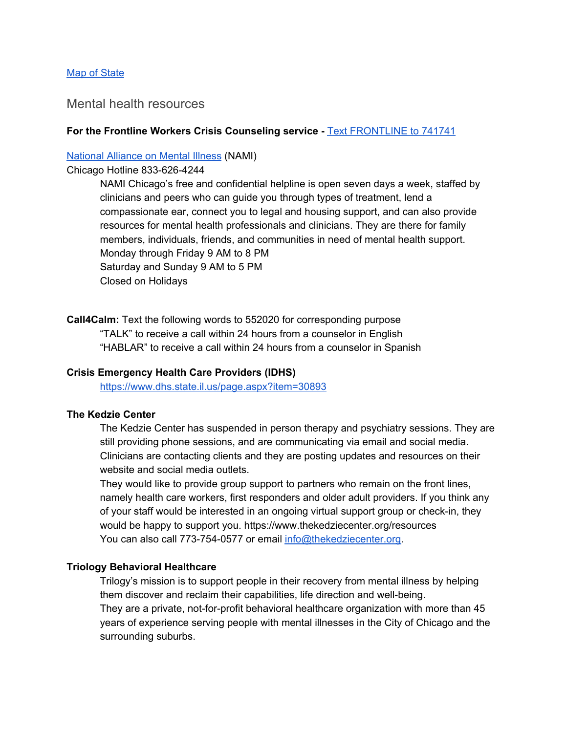#### Map of [State](https://www.isbe.net/Documents/IL-Map-with-Contacts.pdf)

#### <span id="page-11-0"></span>Mental health resources

#### **For the Frontline Workers Crisis Counseling service -** [Text](https://www.forthefrontlines.org/) [FRONTLINE](https://www.forthefrontlines.org/) to 741741

#### [National](https://40thward.us20.list-manage.com/track/click?u=15bbb3d16e48313aee73541bb&id=357d88dd9b&e=053d92b97f) Alliance on Mental Illness (NAMI)

#### Chicago Hotline 833-626-4244

NAMI Chicago's free and confidential helpline is open seven days a week, staffed by clinicians and peers who can guide you through types of treatment, lend a compassionate ear, connect you to legal and housing support, and can also provide resources for mental health professionals and clinicians. They are there for family members, individuals, friends, and communities in need of mental health support. Monday through Friday 9 AM to 8 PM Saturday and Sunday 9 AM to 5 PM Closed on Holidays

**Call4Calm:** Text the following words to 552020 for corresponding purpose "TALK" to receive a call within 24 hours from a counselor in English "HABLAR" to receive a call within 24 hours from a counselor in Spanish

#### **Crisis Emergency Health Care Providers (IDHS)**

<https://www.dhs.state.il.us/page.aspx?item=30893>

#### **The Kedzie Center**

The Kedzie Center has suspended in person therapy and psychiatry sessions. They are still providing phone sessions, and are communicating via email and social media. Clinicians are contacting clients and they are posting updates and resources on their website and social media outlets.

They would like to provide group support to partners who remain on the front lines, namely health care workers, first responders and older adult providers. If you think any of your staff would be interested in an ongoing virtual support group or check-in, they would be happy to support you. https://www.thekedziecenter.org/resources You can also call 773-754-0577 or email [info@thekedziecenter.org.](mailto:info@thekedziecenter.org)

#### **Triology Behavioral Healthcare**

Trilogy's mission is to support people in their recovery from mental illness by helping them discover and reclaim their capabilities, life direction and well-being. They are a private, not-for-profit behavioral healthcare organization with more than 45 years of experience serving people with mental illnesses in the City of Chicago and the surrounding suburbs.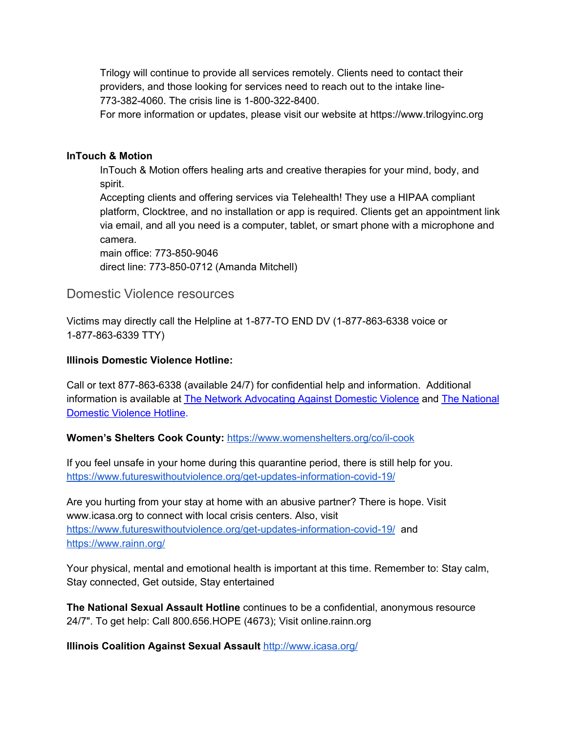Trilogy will continue to provide all services remotely. Clients need to contact their providers, and those looking for services need to reach out to the intake line-773-382-4060. The crisis line is 1-800-322-8400.

For more information or updates, please visit our website at https://www.trilogyinc.org

#### **InTouch & Motion**

InTouch & Motion offers healing arts and creative therapies for your mind, body, and spirit.

Accepting clients and offering services via Telehealth! They use a HIPAA compliant platform, Clocktree, and no installation or app is required. Clients get an appointment link via email, and all you need is a computer, tablet, or smart phone with a microphone and camera.

main office: 773-850-9046 direct line: 773-850-0712 (Amanda Mitchell)

## <span id="page-12-0"></span>Domestic Violence resources

Victims may directly call the Helpline at 1-877-TO END DV (1-877-863-6338 voice or 1-877-863-6339 TTY)

#### **Illinois Domestic Violence Hotline:**

Call or text 877-863-6338 (available 24/7) for confidential help and information. Additional information is available at The Network [Advocating](https://40thward.us20.list-manage.com/track/click?u=15bbb3d16e48313aee73541bb&id=797e5b88b1&e=053d92b97f) Against Domestic Violence and The [National](https://40thward.us20.list-manage.com/track/click?u=15bbb3d16e48313aee73541bb&id=1738e9336c&e=053d92b97f) [Domestic](https://40thward.us20.list-manage.com/track/click?u=15bbb3d16e48313aee73541bb&id=1738e9336c&e=053d92b97f) Violence Hotline.

## **Women's Shelters Cook County:** <https://www.womenshelters.org/co/il-cook>

If you feel unsafe in your home during this quarantine period, there is still help for you. <https://www.futureswithoutviolence.org/get-updates-information-covid-19/>

Are you hurting from your stay at home with an abusive partner? There is hope. Visit www.icasa.org to connect with local crisis centers. Also, visit <https://www.futureswithoutviolence.org/get-updates-information-covid-19/> and <https://www.rainn.org/>

Your physical, mental and emotional health is important at this time. Remember to: Stay calm, Stay connected, Get outside, Stay entertained

**The National Sexual Assault Hotline** continues to be a confidential, anonymous resource 24/7". To get help: Call 800.656.HOPE (4673); Visit online.rainn.org

**Illinois Coalition Against Sexual Assault** <http://www.icasa.org/>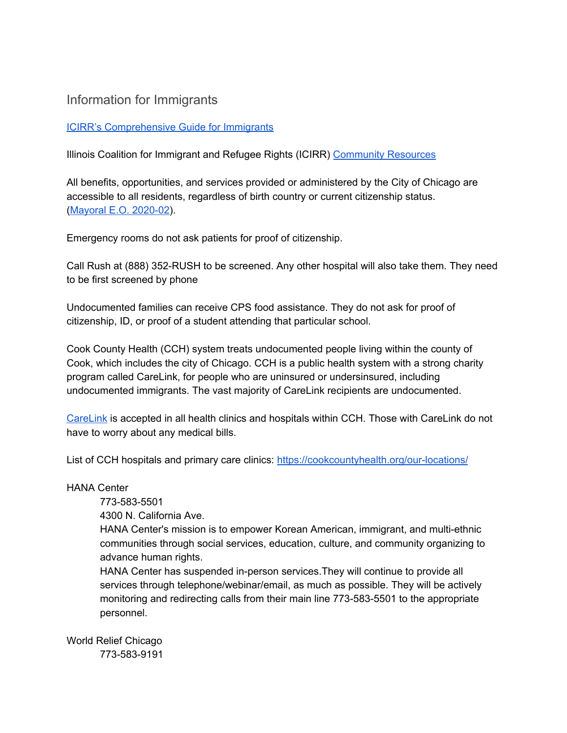## <span id="page-13-0"></span>Information for Immigrants

## ICIRR's [Comprehensive](https://docs.google.com/document/d/1_FkBlQh4AIuGm3_rQAVBIHmDM-j5cxatvnIoxEIbmCc/edit) Guide for Immigrants

Illinois Coalition for Immigrant and Refugee Rights (ICIRR) [Community](https://www.icirr.org/community-resources) Resources

All benefits, opportunities, and services provided or administered by the City of Chicago are accessible to all residents, regardless of birth country or current citizenship status. (Mayoral E.O. [2020-02](https://drive.google.com/file/d/1ddcxrUVB5rvoO4M-8xS6OKlIRXymirco/view?usp=sharing)).

Emergency rooms do not ask patients for proof of citizenship.

Call Rush at (888) 352-RUSH to be screened. Any other hospital will also take them. They need to be first screened by phone

Undocumented families can receive CPS food assistance. They do not ask for proof of citizenship, ID, or proof of a student attending that particular school.

Cook County Health (CCH) system treats undocumented people living within the county of Cook, which includes the city of Chicago. CCH is a public health system with a strong charity program called CareLink, for people who are uninsured or undersinsured, including undocumented immigrants. The vast majority of CareLink recipients are undocumented.

[CareLink](https://cookcountyhealth.org/patients-visitors/billing-insurance/) is accepted in all health clinics and hospitals within CCH. Those with CareLink do not have to worry about any medical bills.

List of CCH hospitals and primary care clinics: <https://cookcountyhealth.org/our-locations/>

HANA Center

773-583-5501

4300 N. California Ave.

HANA Center's mission is to empower Korean American, immigrant, and multi-ethnic communities through social services, education, culture, and community organizing to advance human rights.

HANA Center has suspended in-person services.They will continue to provide all services through telephone/webinar/email, as much as possible. They will be actively monitoring and redirecting calls from their main line 773-583-5501 to the appropriate personnel.

World Relief Chicago 773-583-9191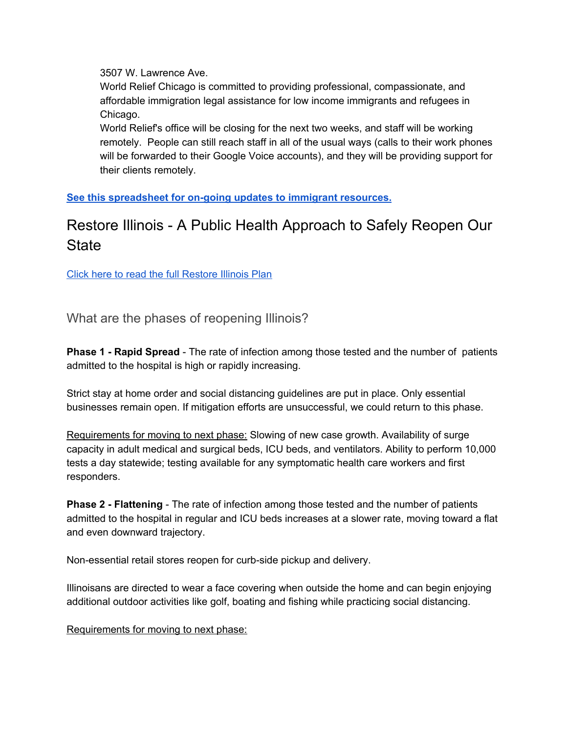3507 W. Lawrence Ave.

World Relief Chicago is committed to providing professional, compassionate, and affordable immigration legal assistance for low income immigrants and refugees in Chicago.

World Relief's office will be closing for the next two weeks, and staff will be working remotely. People can still reach staff in all of the usual ways (calls to their work phones will be forwarded to their Google Voice accounts), and they will be providing support for their clients remotely.

**See this [spreadsheet](https://docs.google.com/spreadsheets/d/18p9OSlLpSYanIoUC-gEbhVbRMYVUfw4wyrixa9ekGdc/htmlview?usp=embed_facebook#) for on-going updates to immigrant resources.**

# <span id="page-14-0"></span>Restore Illinois - A Public Health Approach to Safely Reopen Our **State**

Click here to read the full [Restore](https://drive.google.com/drive/u/1/folders/1Bvbc6kDxrxKQvjHoAFlp5SPkguKsFzEy) Illinois Plan

<span id="page-14-1"></span>What are the phases of reopening Illinois?

**Phase 1 - Rapid Spread** - The rate of infection among those tested and the number of patients admitted to the hospital is high or rapidly increasing.

Strict stay at home order and social distancing guidelines are put in place. Only essential businesses remain open. If mitigation efforts are unsuccessful, we could return to this phase.

Requirements for moving to next phase: Slowing of new case growth. Availability of surge capacity in adult medical and surgical beds, ICU beds, and ventilators. Ability to perform 10,000 tests a day statewide; testing available for any symptomatic health care workers and first responders.

**Phase 2 - Flattening** - The rate of infection among those tested and the number of patients admitted to the hospital in regular and ICU beds increases at a slower rate, moving toward a flat and even downward trajectory.

Non-essential retail stores reopen for curb-side pickup and delivery.

Illinoisans are directed to wear a face covering when outside the home and can begin enjoying additional outdoor activities like golf, boating and fishing while practicing social distancing.

Requirements for moving to next phase: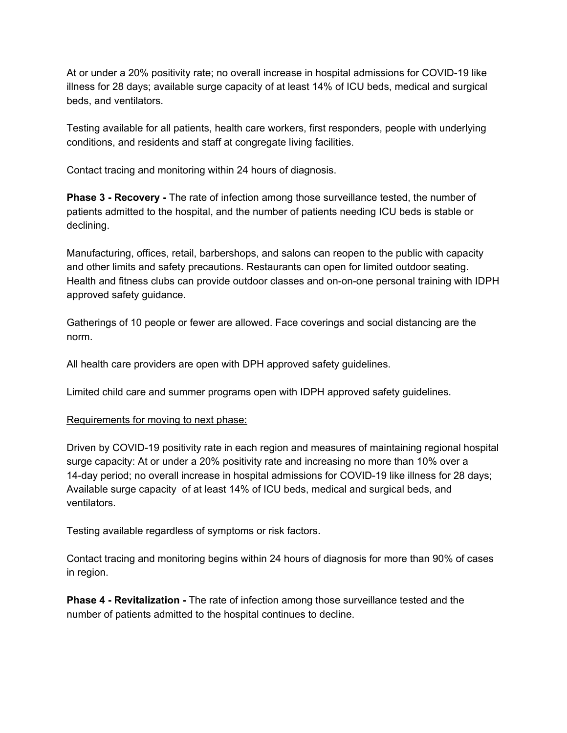At or under a 20% positivity rate; no overall increase in hospital admissions for COVID-19 like illness for 28 days; available surge capacity of at least 14% of ICU beds, medical and surgical beds, and ventilators.

Testing available for all patients, health care workers, first responders, people with underlying conditions, and residents and staff at congregate living facilities.

Contact tracing and monitoring within 24 hours of diagnosis.

**Phase 3 - Recovery -** The rate of infection among those surveillance tested, the number of patients admitted to the hospital, and the number of patients needing ICU beds is stable or declining.

Manufacturing, offices, retail, barbershops, and salons can reopen to the public with capacity and other limits and safety precautions. Restaurants can open for limited outdoor seating. Health and fitness clubs can provide outdoor classes and on-on-one personal training with IDPH approved safety guidance.

Gatherings of 10 people or fewer are allowed. Face coverings and social distancing are the norm.

All health care providers are open with DPH approved safety guidelines.

Limited child care and summer programs open with IDPH approved safety guidelines.

#### Requirements for moving to next phase:

Driven by COVID-19 positivity rate in each region and measures of maintaining regional hospital surge capacity: At or under a 20% positivity rate and increasing no more than 10% over a 14-day period; no overall increase in hospital admissions for COVID-19 like illness for 28 days; Available surge capacity of at least 14% of ICU beds, medical and surgical beds, and ventilators.

Testing available regardless of symptoms or risk factors.

Contact tracing and monitoring begins within 24 hours of diagnosis for more than 90% of cases in region.

**Phase 4 - Revitalization -** The rate of infection among those surveillance tested and the number of patients admitted to the hospital continues to decline.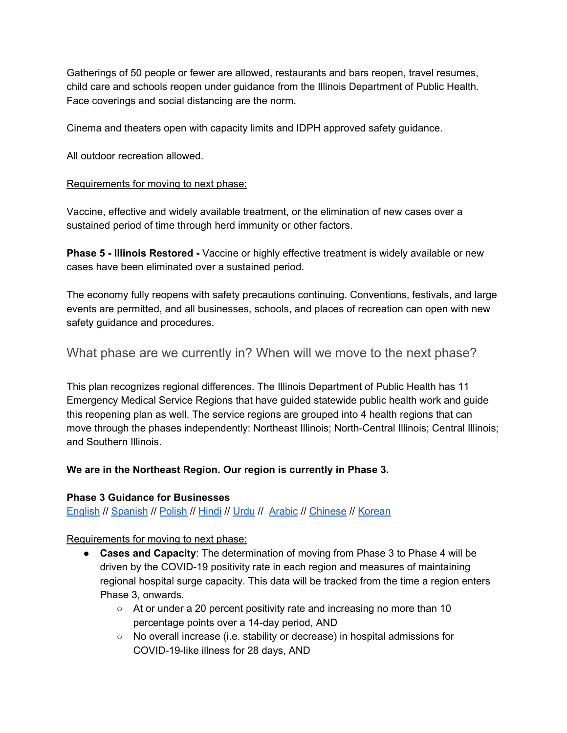Gatherings of 50 people or fewer are allowed, restaurants and bars reopen, travel resumes, child care and schools reopen under guidance from the Illinois Department of Public Health. Face coverings and social distancing are the norm.

Cinema and theaters open with capacity limits and IDPH approved safety guidance.

All outdoor recreation allowed.

#### Requirements for moving to next phase:

Vaccine, effective and widely available treatment, or the elimination of new cases over a sustained period of time through herd immunity or other factors.

**Phase 5 - Illinois Restored -** Vaccine or highly effective treatment is widely available or new cases have been eliminated over a sustained period.

The economy fully reopens with safety precautions continuing. Conventions, festivals, and large events are permitted, and all businesses, schools, and places of recreation can open with new safety guidance and procedures.

## <span id="page-16-0"></span>What phase are we currently in? When will we move to the next phase?

This plan recognizes regional differences. The Illinois Department of Public Health has 11 Emergency Medical Service Regions that have guided statewide public health work and guide this reopening plan as well. The service regions are grouped into 4 health regions that can move through the phases independently: Northeast Illinois; North-Central Illinois; Central Illinois; and Southern Illinois.

## **We are in the Northeast Region. Our region is currently in Phase 3.**

#### **Phase 3 Guidance for Businesses**

[English](https://www2.illinois.gov/dceo/pages/restoreILP3.aspx) // [Spanish](https://dceocovid19resources.com/assets/Restore-Illinois/businessguidelines3/all/spanish.pdf) // [Polish](https://dceocovid19resources.com/assets/Restore-Illinois/businessguidelines3/all/polish.pdf) // [Hindi](https://dceocovid19resources.com/assets/Restore-Illinois/businessguidelines3/all/hindi.pdf) // [Urdu](https://dceocovid19resources.com/assets/Restore-Illinois/businessguidelines3/all/urdu.pdf) // [Arabic](https://dceocovid19resources.com/assets/Restore-Illinois/businessguidelines3/all/arabic.pdf) // [Chinese](https://dceocovid19resources.com/assets/Restore-Illinois/businessguidelines3/all/chinese.pdf) // [Korean](https://dceocovid19resources.com/assets/Restore-Illinois/businessguidelines3/all/korean.pdf)

## Requirements for moving to next phase:

- **Cases and Capacity**: The determination of moving from Phase 3 to Phase 4 will be driven by the COVID-19 positivity rate in each region and measures of maintaining regional hospital surge capacity. This data will be tracked from the time a region enters Phase 3, onwards.
	- $\circ$  At or under a 20 percent positivity rate and increasing no more than 10 percentage points over a 14-day period, AND
	- No overall increase (i.e. stability or decrease) in hospital admissions for COVID-19-like illness for 28 days, AND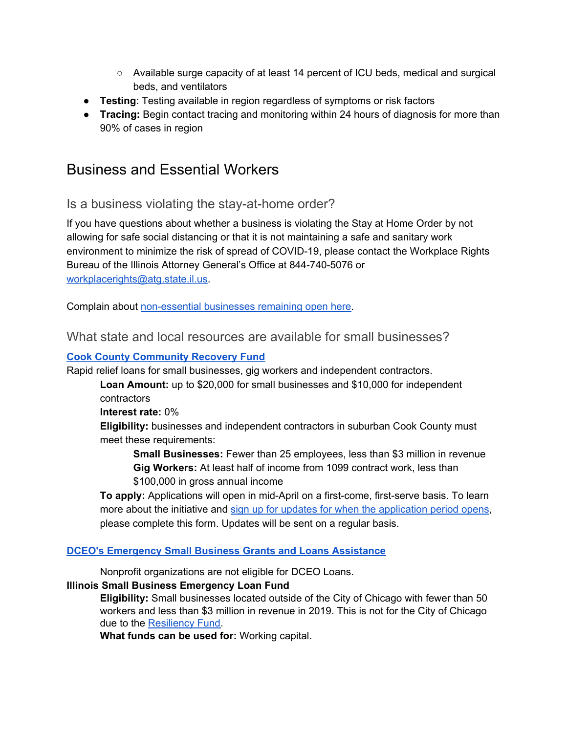- Available surge capacity of at least 14 percent of ICU beds, medical and surgical beds, and ventilators
- **Testing**: Testing available in region regardless of symptoms or risk factors
- **Tracing:** Begin contact tracing and monitoring within 24 hours of diagnosis for more than 90% of cases in region

# <span id="page-17-0"></span>Business and Essential Workers

<span id="page-17-1"></span>Is a business violating the stay-at-home order?

If you have questions about whether a business is violating the Stay at Home Order by not allowing for safe social distancing or that it is not maintaining a safe and sanitary work environment to minimize the risk of spread of COVID-19, please contact the Workplace Rights Bureau of the Illinois Attorney General's Office at 844-740-5076 or [workplacerights@atg.state.il.us](mailto:workplacerights@atg.state.il.us).

<span id="page-17-2"></span>Complain about [non-essential](https://app.smartsheet.com/b/form/da22b3bda11940338dc00628e56486fd) businesses remaining open here.

What state and local resources are available for small businesses?

## **Cook County [Community](https://www.cookcountyil.gov/service/covid-19-community-recovery-initiative) Recovery Fund**

Rapid relief loans for small businesses, gig workers and independent contractors.

**Loan Amount:** up to \$20,000 for small businesses and \$10,000 for independent contractors

**Interest rate:** 0%

**Eligibility:** businesses and independent contractors in suburban Cook County must meet these requirements:

**Small Businesses:** Fewer than 25 employees, less than \$3 million in revenue **Gig Workers:** At least half of income from 1099 contract work, less than \$100,000 in gross annual income

**To apply:** Applications will open in mid-April on a first-come, first-serve basis. To learn more about the initiative and sign up for updates for when the [application](https://forms.office.com/Pages/ResponsePage.aspx?id=rlVNi7RtBU6oXFnWolbNbmMOJwqJKYZHoxCOSMzw5rhUOUVZOVgyUjVIUjgzUDAxOElWNUwxQ0VQRS4u) period opens, please complete this form. Updates will be sent on a regular basis.

## **DCEO's [Emergency](https://www2.illinois.gov/dceo/SmallBizAssistance/Pages/EmergencySBAIntiatives.aspx) Small Business Grants and Loans Assistance**

Nonprofit organizations are not eligible for DCEO Loans.

## **Illinois Small Business Emergency Loan Fund**

**Eligibility:** Small businesses located outside of the City of Chicago with fewer than 50 workers and less than \$3 million in revenue in 2019. This is not for the City of Chicago due to the [Resiliency](https://www.connect2capital.com/partners/chicago-small-business-resiliency-fund/) Fund.

**What funds can be used for:** Working capital.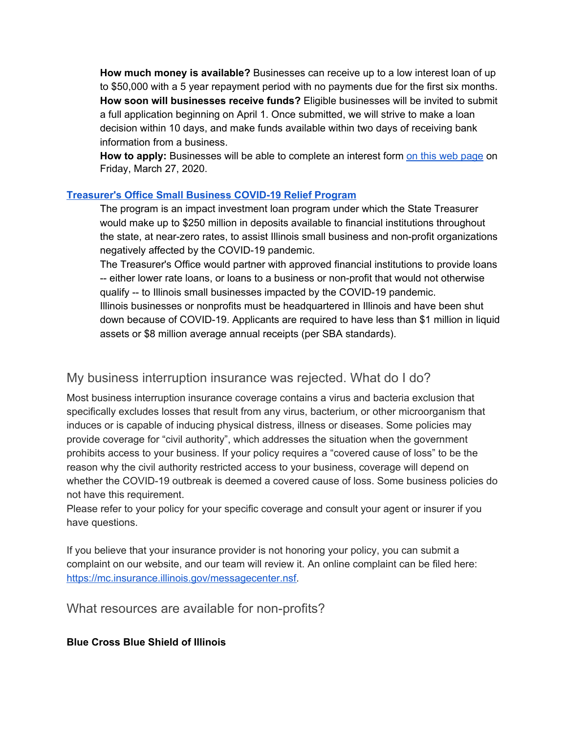**How much money is available?** Businesses can receive up to a low interest loan of up to \$50,000 with a 5 year repayment period with no payments due for the first six months. **How soon will businesses receive funds?** Eligible businesses will be invited to submit a full application beginning on April 1. Once submitted, we will strive to make a loan decision within 10 days, and make funds available within two days of receiving bank information from a business.

**How to apply:** Businesses will be able to complete an interest form on this web [page](https://www2.illinois.gov/dceo/SmallBizAssistance/Pages/EmergencySBAIntiatives.aspx) on Friday, March 27, 2020.

## **[Treasurer's](https://illinoistreasurer.gov/Invest_in_Illinois/Small_Business_COVID-19_Relief_Program) Office Small Business COVID-19 Relief Program**

The program is an impact investment loan program under which the State Treasurer would make up to \$250 million in deposits available to financial institutions throughout the state, at near-zero rates, to assist Illinois small business and non-profit organizations negatively affected by the COVID-19 pandemic.

The Treasurer's Office would partner with approved financial institutions to provide loans -- either lower rate loans, or loans to a business or non-profit that would not otherwise qualify -- to Illinois small businesses impacted by the COVID-19 pandemic. Illinois businesses or nonprofits must be headquartered in Illinois and have been shut down because of COVID-19. Applicants are required to have less than \$1 million in liquid assets or \$8 million average annual receipts (per SBA standards).

## <span id="page-18-0"></span>My business interruption insurance was rejected. What do I do?

Most business interruption insurance coverage contains a virus and bacteria exclusion that specifically excludes losses that result from any virus, bacterium, or other microorganism that induces or is capable of inducing physical distress, illness or diseases. Some policies may provide coverage for "civil authority", which addresses the situation when the government prohibits access to your business. If your policy requires a "covered cause of loss" to be the reason why the civil authority restricted access to your business, coverage will depend on whether the COVID-19 outbreak is deemed a covered cause of loss. Some business policies do not have this requirement.

Please refer to your policy for your specific coverage and consult your agent or insurer if you have questions.

If you believe that your insurance provider is not honoring your policy, you can submit a complaint on our website, and our team will review it. An online complaint can be filed here: <https://mc.insurance.illinois.gov/messagecenter.nsf>.

<span id="page-18-1"></span>What resources are available for non-profits?

## **Blue Cross Blue Shield of Illinois**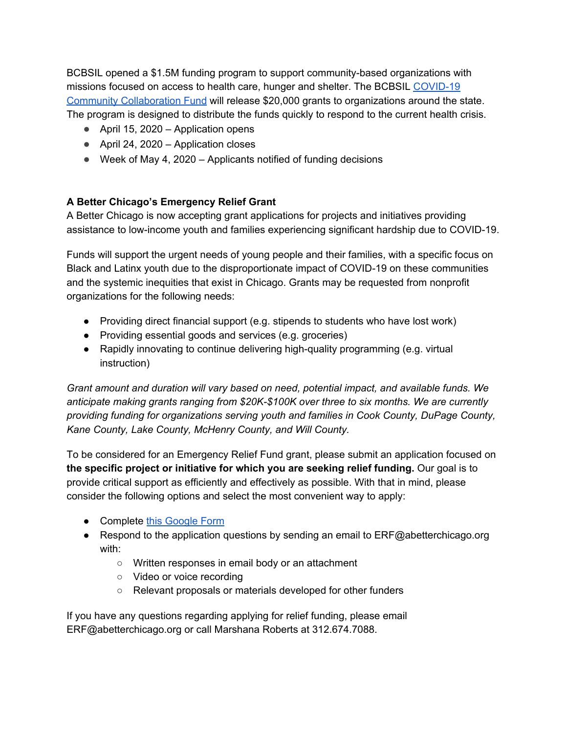BCBSIL opened a \$1.5M funding program to support community-based organizations with missions focused on access to health care, hunger and shelter. The BCBSIL [COVID-19](https://www.cybergrants.com/hcsc/grant) Community [Collaboration](https://www.cybergrants.com/hcsc/grant) Fund will release \$20,000 grants to organizations around the state. The program is designed to distribute the funds quickly to respond to the current health crisis.

- April 15, 2020 Application opens
- April 24, 2020 Application closes
- $\bullet$  Week of May 4, 2020 Applicants notified of funding decisions

## **A Better Chicago's Emergency Relief Grant**

A Better Chicago is now accepting grant applications for projects and initiatives providing assistance to low-income youth and families experiencing significant hardship due to COVID-19.

Funds will support the urgent needs of young people and their families, with a specific focus on Black and Latinx youth due to the disproportionate impact of COVID-19 on these communities and the systemic inequities that exist in Chicago. Grants may be requested from nonprofit organizations for the following needs:

- Providing direct financial support (e.g. stipends to students who have lost work)
- Providing essential goods and services (e.g. groceries)
- Rapidly innovating to continue delivering high-quality programming (e.g. virtual instruction)

*Grant amount and duration will vary based on need, potential impact, and available funds. We anticipate making grants ranging from \$20K-\$100K over three to six months. We are currently providing funding for organizations serving youth and families in Cook County, DuPage County, Kane County, Lake County, McHenry County, and Will County.*

To be considered for an Emergency Relief Fund grant, please submit an application focused on **the specific project or initiative for which you are seeking relief funding.** Our goal is to provide critical support as efficiently and effectively as possible. With that in mind, please consider the following options and select the most convenient way to apply:

- Compl[e](https://docs.google.com/forms/d/e/1FAIpQLSdJcJAKuAvu4RyAG4eKvdB5W5My95IodmgvGq9m3Dc0-6nl3A/viewform)te this [Google](https://docs.google.com/forms/d/e/1FAIpQLSdJcJAKuAvu4RyAG4eKvdB5W5My95IodmgvGq9m3Dc0-6nl3A/viewform) Form
- Respond to the application questions by sending an email to ERF@abetterchicago.org with:
	- Written responses in email body or an attachment
	- Video or voice recording
	- Relevant proposals or materials developed for other funders

If you have any questions regarding applying for relief funding, please email ERF@abetterchicago.org or call Marshana Roberts at 312.674.7088.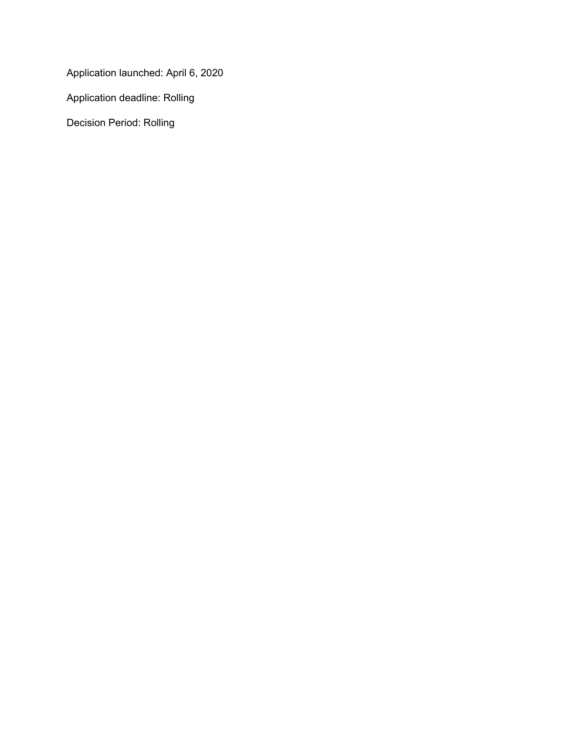Application launched: April 6, 2020

Application deadline: Rolling

Decision Period: Rolling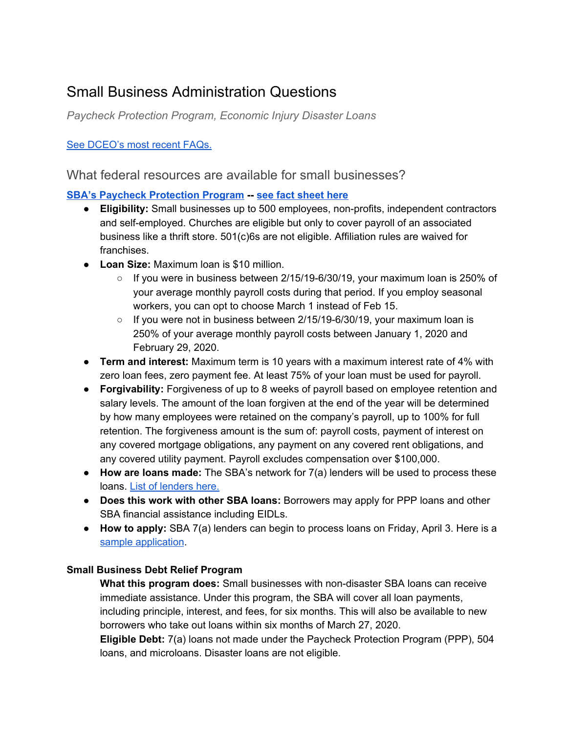# <span id="page-21-1"></span>Small Business Administration Questions

*Paycheck Protection Program, Economic Injury Disaster Loans*

## <span id="page-21-0"></span>See [DCEO's](https://drive.google.com/file/d/1nU3Nuy9_5SAT0FRmz40kymL8GQSXxZPa/view?usp=sharing) most recent FAQs.

What federal resources are available for small businesses?

## **SBA's Paycheck [Protection](https://www.sba.gov/funding-programs/loans/paycheck-protection-program-ppp#section-header-4) Program -- see fact [sheet](https://drive.google.com/open?id=1BYI-i07Xz1mVO26SGOjsKSzkU1DjTd0g) here**

- **Eligibility:** Small businesses up to 500 employees, non-profits, independent contractors and self-employed. Churches are eligible but only to cover payroll of an associated business like a thrift store. 501(c)6s are not eligible. Affiliation rules are waived for franchises.
- **Loan Size:** Maximum loan is \$10 million.
	- $\circ$  If you were in business between 2/15/19-6/30/19, your maximum loan is 250% of your average monthly payroll costs during that period. If you employ seasonal workers, you can opt to choose March 1 instead of Feb 15.
	- $\circ$  If you were not in business between 2/15/19-6/30/19, your maximum loan is 250% of your average monthly payroll costs between January 1, 2020 and February 29, 2020.
- **Term and interest:** Maximum term is 10 years with a maximum interest rate of 4% with zero loan fees, zero payment fee. At least 75% of your loan must be used for payroll.
- **Forgivability:** Forgiveness of up to 8 weeks of payroll based on employee retention and salary levels. The amount of the loan forgiven at the end of the year will be determined by how many employees were retained on the company's payroll, up to 100% for full retention. The forgiveness amount is the sum of: payroll costs, payment of interest on any covered mortgage obligations, any payment on any covered rent obligations, and any covered utility payment. Payroll excludes compensation over \$100,000.
- **How are loans made:** The SBA's network for 7(a) lenders will be used to process these loans. List of [lenders](https://www.sba.gov/sites/default/files/articles/Active_Lenders_in_Illinois_5_30_2019.pdf) here.
- **Does this work with other SBA loans:** Borrowers may apply for PPP loans and other SBA financial assistance including EIDLs.
- **How to apply:** SBA 7(a) lenders can begin to process loans on Friday, April 3. Here is a sample [application](https://www.sba.gov/document/sba-form--paycheck-protection-program-ppp-sample-application-form#main-content).

## **Small Business Debt Relief Program**

**What this program does:** Small businesses with non-disaster SBA loans can receive immediate assistance. Under this program, the SBA will cover all loan payments, including principle, interest, and fees, for six months. This will also be available to new borrowers who take out loans within six months of March 27, 2020.

**Eligible Debt:** 7(a) loans not made under the Paycheck Protection Program (PPP), 504 loans, and microloans. Disaster loans are not eligible.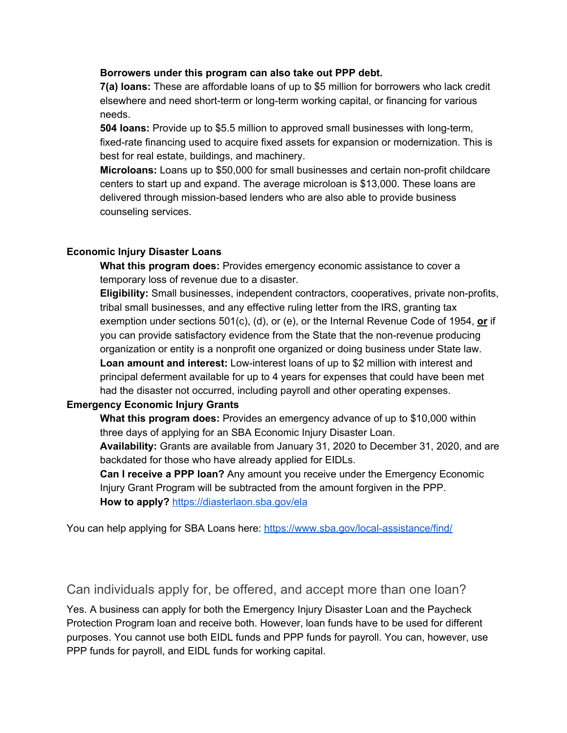#### **Borrowers under this program can also take out PPP debt.**

**7(a) loans:** These are affordable loans of up to \$5 million for borrowers who lack credit elsewhere and need short-term or long-term working capital, or financing for various needs.

**504 loans:** Provide up to \$5.5 million to approved small businesses with long-term, fixed-rate financing used to acquire fixed assets for expansion or modernization. This is best for real estate, buildings, and machinery.

**Microloans:** Loans up to \$50,000 for small businesses and certain non-profit childcare centers to start up and expand. The average microloan is \$13,000. These loans are delivered through mission-based lenders who are also able to provide business counseling services.

#### **Economic Injury Disaster Loans**

**What this program does:** Provides emergency economic assistance to cover a temporary loss of revenue due to a disaster.

**Eligibility:** Small businesses, independent contractors, cooperatives, private non-profits, tribal small businesses, and any effective ruling letter from the IRS, granting tax exemption under sections 501(c), (d), or (e), or the Internal Revenue Code of 1954, **or** if you can provide satisfactory evidence from the State that the non-revenue producing organization or entity is a nonprofit one organized or doing business under State law. **Loan amount and interest:** Low-interest loans of up to \$2 million with interest and principal deferment available for up to 4 years for expenses that could have been met had the disaster not occurred, including payroll and other operating expenses.

## **Emergency Economic Injury Grants**

**What this program does:** Provides an emergency advance of up to \$10,000 within three days of applying for an SBA Economic Injury Disaster Loan.

**Availability:** Grants are available from January 31, 2020 to December 31, 2020, and are backdated for those who have already applied for EIDLs.

**Can I receive a PPP loan?** Any amount you receive under the Emergency Economic Injury Grant Program will be subtracted from the amount forgiven in the PPP. **How to apply?** <https://diasterlaon.sba.gov/ela>

You can help applying for SBA Loans here: <https://www.sba.gov/local-assistance/find/>

## Can individuals apply for, be offered, and accept more than one loan?

Yes. A business can apply for both the Emergency Injury Disaster Loan and the Paycheck Protection Program loan and receive both. However, loan funds have to be used for different purposes. You cannot use both EIDL funds and PPP funds for payroll. You can, however, use PPP funds for payroll, and EIDL funds for working capital.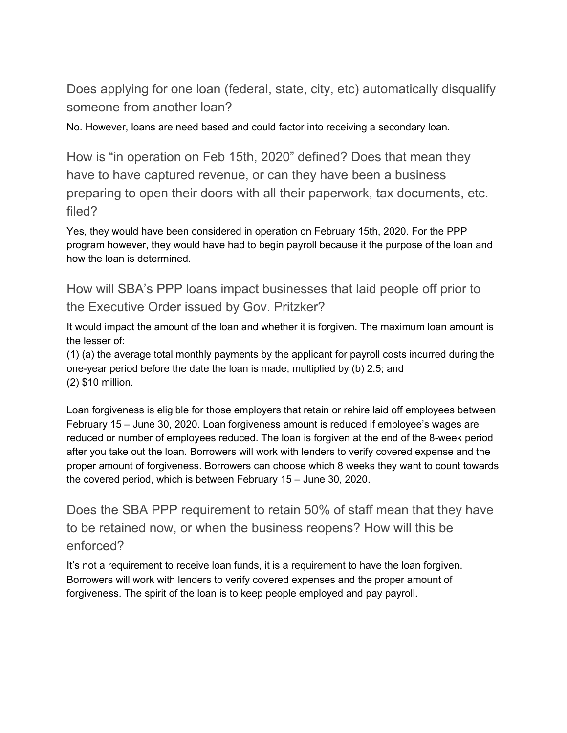<span id="page-23-0"></span>Does applying for one loan (federal, state, city, etc) automatically disqualify someone from another loan?

<span id="page-23-1"></span>No. However, loans are need based and could factor into receiving a secondary loan.

How is "in operation on Feb 15th, 2020" defined? Does that mean they have to have captured revenue, or can they have been a business preparing to open their doors with all their paperwork, tax documents, etc. filed?

Yes, they would have been considered in operation on February 15th, 2020. For the PPP program however, they would have had to begin payroll because it the purpose of the loan and how the loan is determined.

<span id="page-23-2"></span>How will SBA's PPP loans impact businesses that laid people off prior to the Executive Order issued by Gov. Pritzker?

It would impact the amount of the loan and whether it is forgiven. The maximum loan amount is the lesser of:

(1) (a) the average total monthly payments by the applicant for payroll costs incurred during the one-year period before the date the loan is made, multiplied by (b) 2.5; and (2) \$10 million.

Loan forgiveness is eligible for those employers that retain or rehire laid off employees between February 15 – June 30, 2020. Loan forgiveness amount is reduced if employee's wages are reduced or number of employees reduced. The loan is forgiven at the end of the 8-week period after you take out the loan. Borrowers will work with lenders to verify covered expense and the proper amount of forgiveness. Borrowers can choose which 8 weeks they want to count towards the covered period, which is between February 15 – June 30, 2020.

<span id="page-23-3"></span>Does the SBA PPP requirement to retain 50% of staff mean that they have to be retained now, or when the business reopens? How will this be enforced?

It's not a requirement to receive loan funds, it is a requirement to have the loan forgiven. Borrowers will work with lenders to verify covered expenses and the proper amount of forgiveness. The spirit of the loan is to keep people employed and pay payroll.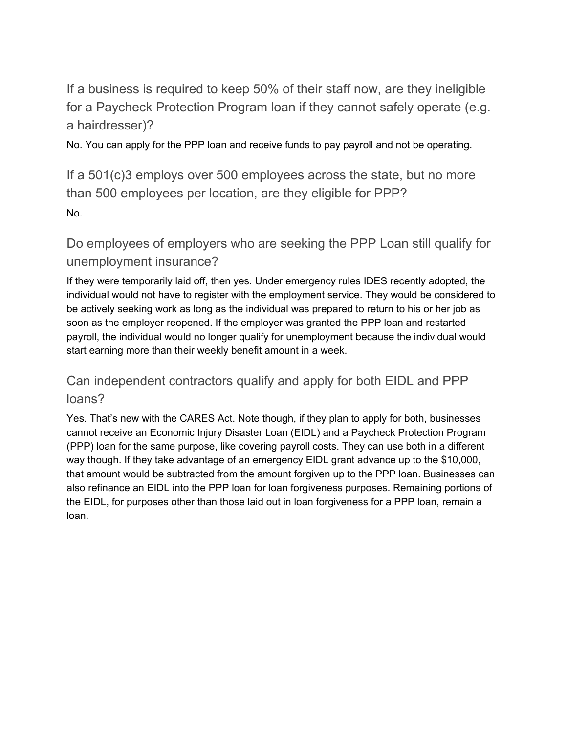<span id="page-24-0"></span>If a business is required to keep 50% of their staff now, are they ineligible for a Paycheck Protection Program loan if they cannot safely operate (e.g. a hairdresser)?

<span id="page-24-1"></span>No. You can apply for the PPP loan and receive funds to pay payroll and not be operating.

If a 501(c)3 employs over 500 employees across the state, but no more than 500 employees per location, are they eligible for PPP? No.

<span id="page-24-2"></span>Do employees of employers who are seeking the PPP Loan still qualify for unemployment insurance?

If they were temporarily laid off, then yes. Under emergency rules IDES recently adopted, the individual would not have to register with the employment service. They would be considered to be actively seeking work as long as the individual was prepared to return to his or her job as soon as the employer reopened. If the employer was granted the PPP loan and restarted payroll, the individual would no longer qualify for unemployment because the individual would start earning more than their weekly benefit amount in a week.

# <span id="page-24-3"></span>Can independent contractors qualify and apply for both EIDL and PPP loans?

Yes. That's new with the CARES Act. Note though, if they plan to apply for both, businesses cannot receive an Economic Injury Disaster Loan (EIDL) and a Paycheck Protection Program (PPP) loan for the same purpose, like covering payroll costs. They can use both in a different way though. If they take advantage of an emergency EIDL grant advance up to the \$10,000, that amount would be subtracted from the amount forgiven up to the PPP loan. Businesses can also refinance an EIDL into the PPP loan for loan forgiveness purposes. Remaining portions of the EIDL, for purposes other than those laid out in loan forgiveness for a PPP loan, remain a loan.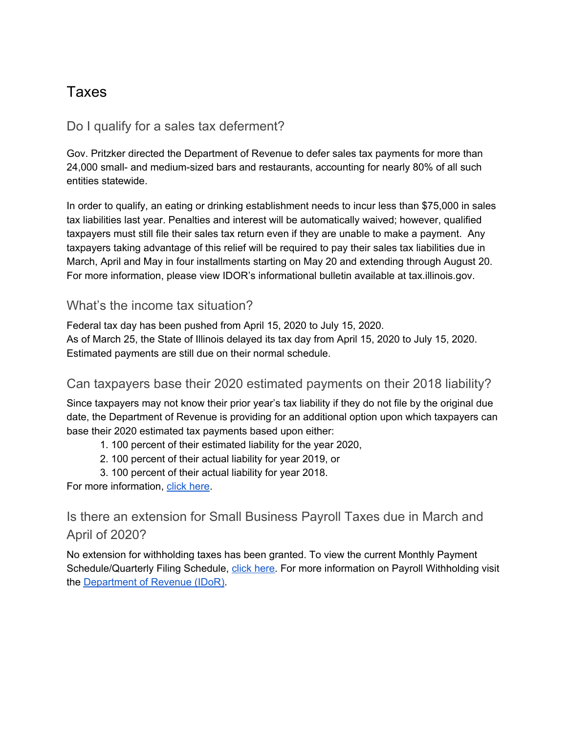# <span id="page-25-0"></span>Taxes

## <span id="page-25-1"></span>Do I qualify for a sales tax deferment?

Gov. Pritzker directed the Department of Revenue to defer sales tax payments for more than 24,000 small- and medium-sized bars and restaurants, accounting for nearly 80% of all such entities statewide.

In order to qualify, an eating or drinking establishment needs to incur less than \$75,000 in sales tax liabilities last year. Penalties and interest will be automatically waived; however, qualified taxpayers must still file their sales tax return even if they are unable to make a payment. Any taxpayers taking advantage of this relief will be required to pay their sales tax liabilities due in March, April and May in four installments starting on May 20 and extending through August 20. For more information, please view IDOR's informational bulletin available at tax.illinois.gov.

## <span id="page-25-2"></span>What's the income tax situation?

Federal tax day has been pushed from April 15, 2020 to July 15, 2020. As of March 25, the State of Illinois delayed its tax day from April 15, 2020 to July 15, 2020. Estimated payments are still due on their normal schedule.

## <span id="page-25-3"></span>Can taxpayers base their 2020 estimated payments on their 2018 liability?

Since taxpayers may not know their prior year's tax liability if they do not file by the original due date, the Department of Revenue is providing for an additional option upon which taxpayers can base their 2020 estimated tax payments based upon either:

- 1. 100 percent of their estimated liability for the year 2020,
- 2. 100 percent of their actual liability for year 2019, or
- 3. 100 percent of their actual liability for year 2018.

<span id="page-25-4"></span>For more information, click [here](https://www2.illinois.gov/rev/research/publications/bulletins/Documents/2020/FY2020-26.pdf).

Is there an extension for Small Business Payroll Taxes due in March and April of 2020?

No extension for withholding taxes has been granted. To view the current Monthly Payment Schedule/Quarterly Filing Schedule, click [here.](https://www2.illinois.gov/rev/research/taxinformation/payroll/Documents/2020_illinois_withholding_income_tax_due_dates.pdf) For more information on Payroll Withholding visit the [Department](https://www2.illinois.gov/rev/research/taxinformation/payroll/Pages/default.aspx) of Revenue (IDoR).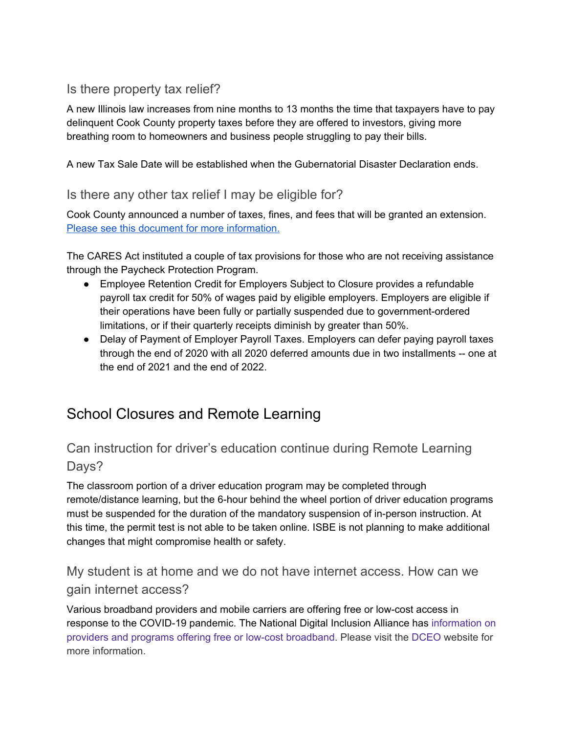## <span id="page-26-0"></span>Is there property tax relief?

A new Illinois law increases from nine months to 13 months the time that taxpayers have to pay delinquent Cook County property taxes before they are offered to investors, giving more breathing room to homeowners and business people struggling to pay their bills.

A new Tax Sale Date will be established when the Gubernatorial Disaster Declaration ends.

## Is there any other tax relief I may be eligible for?

Cook County announced a number of taxes, fines, and fees that will be granted an extension. Please see this document for more [information.](https://drive.google.com/open?id=1pRwiu-XygMW2JcuknxIXltOsi-WWASek)

The CARES Act instituted a couple of tax provisions for those who are not receiving assistance through the Paycheck Protection Program.

- Employee Retention Credit for Employers Subject to Closure provides a refundable payroll tax credit for 50% of wages paid by eligible employers. Employers are eligible if their operations have been fully or partially suspended due to government-ordered limitations, or if their quarterly receipts diminish by greater than 50%.
- Delay of Payment of Employer Payroll Taxes. Employers can defer paying payroll taxes through the end of 2020 with all 2020 deferred amounts due in two installments -- one at the end of 2021 and the end of 2022.

# <span id="page-26-1"></span>School Closures and Remote Learning

## <span id="page-26-2"></span>Can instruction for driver's education continue during Remote Learning Days?

The classroom portion of a driver education program may be completed through remote/distance learning, but the 6-hour behind the wheel portion of driver education programs must be suspended for the duration of the mandatory suspension of in-person instruction. At this time, the permit test is not able to be taken online. ISBE is not planning to make additional changes that might compromise health or safety.

# <span id="page-26-3"></span>My student is at home and we do not have internet access. How can we gain internet access?

Various broadband providers and mobile carriers are offering free or low-cost access in response to the COVID-19 pandemic. The National Digital Inclusion Alliance has [information](https://www.digitalinclusion.org/free-low-cost-internet-plans/) on providers and programs offering free or low-cost [broadband.](https://www.digitalinclusion.org/free-low-cost-internet-plans/) Please visit the [DCEO](https://www2.illinois.gov/dceo/ConnectIllinois/Pages/LowCostBroadband.aspx) website for more information.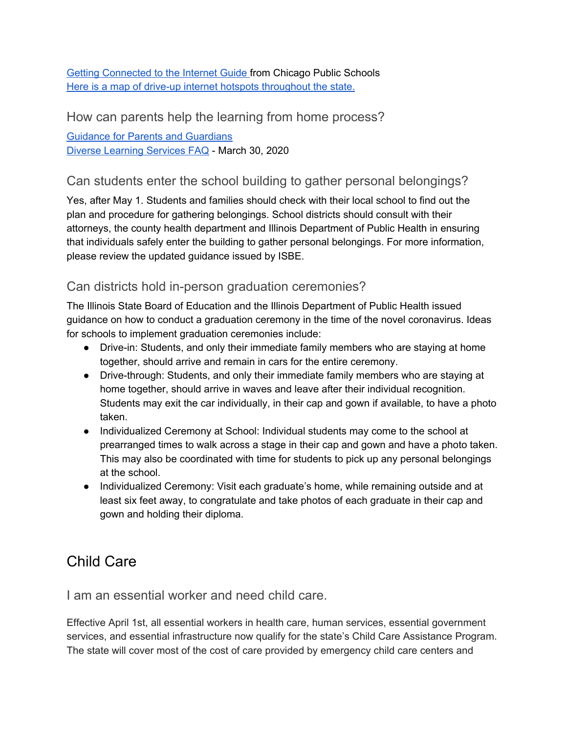Getting [Connected](https://docs.google.com/document/d/1ejwEUTt56mDdcNUDQ2oLFlL--qhC3qe-lhlOe5mD4gs/edit?usp=sharing) to the Internet Guide from Chicago Public Schools Here is a map of drive-up internet hotspots [throughout](http://illinois.maps.arcgis.com/apps/webappviewer/index.html?id=23e8046edd2940bc8ad3ad1725e47cd0) the state.

<span id="page-27-0"></span>How can parents help the learning from home process?

Guidance for Parents and [Guardians](https://drive.google.com/open?id=1EKccqjsYXM5s_P2JZLKAgWbPcxdDew5d) Diverse [Learning](https://docs.google.com/document/d/1Y7U4QwtVufAk1Y_Z-fsL8QIP9L3ApePuFFMBOweOJaA/preview) Services FAQ - March 30, 2020

## <span id="page-27-1"></span>Can students enter the school building to gather personal belongings?

Yes, after May 1. Students and families should check with their local school to find out the plan and procedure for gathering belongings. School districts should consult with their attorneys, the county health department and Illinois Department of Public Health in ensuring that individuals safely enter the building to gather personal belongings. For more information, please review the updated guidance issued by ISBE.

## <span id="page-27-2"></span>Can districts hold in-person graduation ceremonies?

The Illinois State Board of Education and the Illinois Department of Public Health issued guidance on how to conduct a graduation ceremony in the time of the novel coronavirus. Ideas for schools to implement graduation ceremonies include:

- Drive-in: Students, and only their immediate family members who are staying at home together, should arrive and remain in cars for the entire ceremony.
- Drive-through: Students, and only their immediate family members who are staying at home together, should arrive in waves and leave after their individual recognition. Students may exit the car individually, in their cap and gown if available, to have a photo taken.
- Individualized Ceremony at School: Individual students may come to the school at prearranged times to walk across a stage in their cap and gown and have a photo taken. This may also be coordinated with time for students to pick up any personal belongings at the school.
- Individualized Ceremony: Visit each graduate's home, while remaining outside and at least six feet away, to congratulate and take photos of each graduate in their cap and gown and holding their diploma.

# <span id="page-27-3"></span>Child Care

<span id="page-27-4"></span>I am an essential worker and need child care.

Effective April 1st, all essential workers in health care, human services, essential government services, and essential infrastructure now qualify for the state's Child Care Assistance Program. The state will cover most of the cost of care provided by emergency child care centers and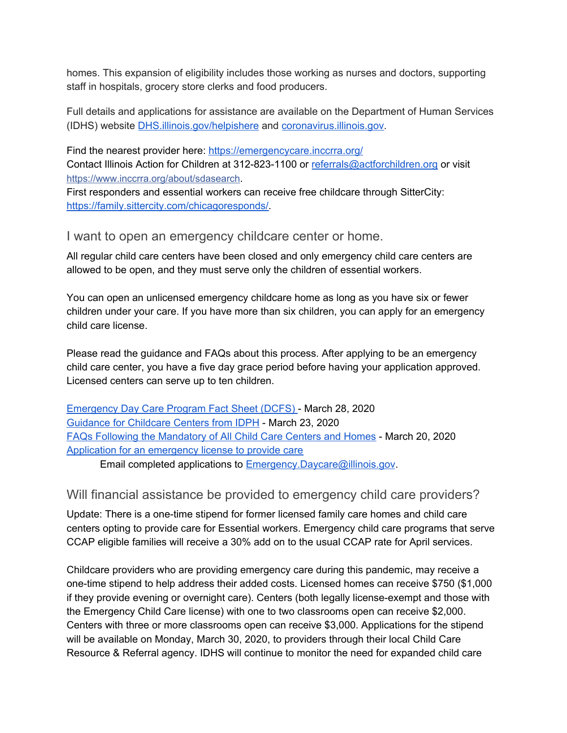homes. This expansion of eligibility includes those working as nurses and doctors, supporting staff in hospitals, grocery store clerks and food producers.

Full details and applications for assistance are available on the Department of Human Services (IDHS) website [DHS.illinois.gov/helpishere](http://www.dhs.state.il.us/page.aspx?item=123529) and [coronavirus.illinois.gov.](https://coronavirus.illinois.gov/s/)

Find the nearest provider here: <https://emergencycare.inccrra.org/> Contact Illinois Action for Children at 312-823-1100 or [referrals@actforchildren.org](mailto:referrals@actforchildren.org) or visit [https://www.inccrra.org/about/sdasearch](https://www.inccrra.org/about/sdasearch?fbclid=IwAR2MDVXRU_NFZi-Uy35RfWN2DyrOdeSe1FyF55rtN8RHjmwgjj8yUuN4Ijg).

First responders and essential workers can receive free childcare through SitterCity: <https://family.sittercity.com/chicagoresponds/>.

<span id="page-28-0"></span>I want to open an emergency childcare center or home.

All regular child care centers have been closed and only emergency child care centers are allowed to be open, and they must serve only the children of essential workers.

You can open an unlicensed emergency childcare home as long as you have six or fewer children under your care. If you have more than six children, you can apply for an emergency child care license.

Please read the guidance and FAQs about this process. After applying to be an emergency child care center, you have a five day grace period before having your application approved. Licensed centers can serve up to ten children.

[Emergency](https://drive.google.com/file/d/1xJlOoKbZPl44jG1TYfBBVl2fDKkSxX7B/view?usp=sharing) Day Care Program Fact Sheet (DCFS) - March 28, 2020 [Guidance](https://drive.google.com/file/d/1zZyI7sOOwpwjuzp9E3dfrfwrzFVqNSZb/view?usp=sharing) for Childcare Centers from IDPH - March 23, 2020 FAQs Following the [Mandatory](https://drive.google.com/file/d/1iW_mOUqsSAOVXLxaSeWzlQYQGIxELXjb/view?usp=sharing) of All Child Care Centers and Homes - March 20, 2020 Application for an [emergency](https://drive.google.com/open?id=17NO7Qu17pYsQ1E0EFx1CKhHt6Lzq2_Jm) license to provide care

Email completed applications to [Emergency.Daycare@illinois.gov](mailto:Emergency.Daycare@illinois.gov).

## <span id="page-28-1"></span>Will financial assistance be provided to emergency child care providers?

Update: There is a one-time stipend for former licensed family care homes and child care centers opting to provide care for Essential workers. Emergency child care programs that serve CCAP eligible families will receive a 30% add on to the usual CCAP rate for April services.

Childcare providers who are providing emergency care during this pandemic, may receive a one-time stipend to help address their added costs. Licensed homes can receive \$750 (\$1,000 if they provide evening or overnight care). Centers (both legally license-exempt and those with the Emergency Child Care license) with one to two classrooms open can receive \$2,000. Centers with three or more classrooms open can receive \$3,000. Applications for the stipend will be available on Monday, March 30, 2020, to providers through their local Child Care Resource & Referral agency. IDHS will continue to monitor the need for expanded child care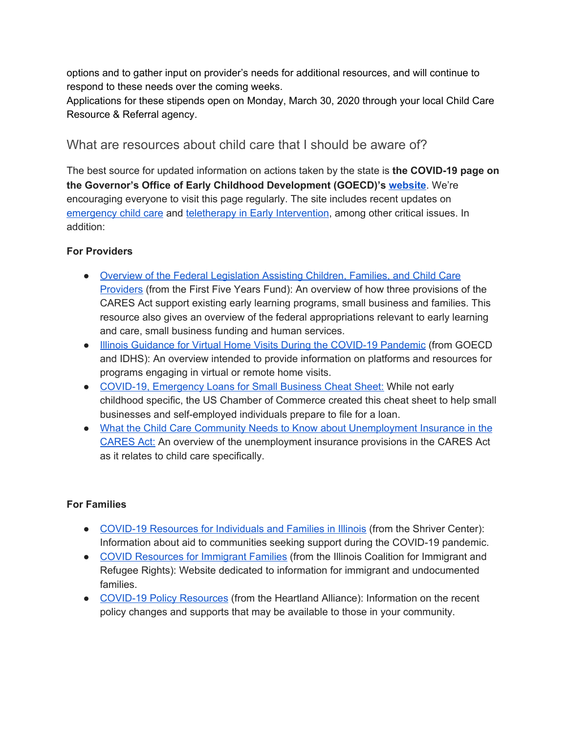options and to gather input on provider's needs for additional resources, and will continue to respond to these needs over the coming weeks.

Applications for these stipends open on Monday, March 30, 2020 through your local Child Care Resource & Referral agency.

## <span id="page-29-0"></span>What are resources about child care that I should be aware of?

The best source for updated information on actions taken by the state is **the COVID-19 page on the Governor's Office of Early Childhood Development (GOECD)'s [website](https://www2.illinois.gov/sites/OECD/Pages/COVID-19.aspx)**. We're encouraging everyone to visit this page regularly. The site includes recent updates on [emergency](https://www2.illinois.gov/sites/OECD/Pages/For-Communities.aspx) child care and teletherapy in Early [Intervention,](http://www.wiu.edu/coehs/provider_connections/pdf/20200406livevideovisits.pdf) among other critical issues. In addition:

## **For Providers**

- Overview of the Federal [Legislation](https://www.ffyf.org/relief-for-child-care-providers-included-in-the-cares-act/) Assisting Children, Families, and Child Care [Providers](https://www.ffyf.org/relief-for-child-care-providers-included-in-the-cares-act/) (from the First Five Years Fund): An overview of how three provisions of the CARES Act support existing early learning programs, small business and families. This resource also gives an overview of the federal appropriations relevant to early learning and care, small business funding and human services.
- **.** Illinois Guidance for Virtual Home Visits During the [COVID-19](https://www2.illinois.gov/sites/OECD/Documents/COVID%2019%20Virtual%20Visit%20Guidance%20FINAL.pdf) Pandemic (from GOECD and IDHS): An overview intended to provide information on platforms and resources for programs engaging in virtual or remote home visits.
- COVID-19, [Emergency](https://www.uschamber.com/report/covid-19-emergency-loans-small-business-guide?utm_content=buffer8a57f&utm_medium=social&utm_source=twitter.com&utm_campaign=buffer) Loans for Small Business Cheat Sheet: While not early childhood specific, the US Chamber of Commerce created this cheat sheet to help small businesses and self-employed individuals prepare to file for a loan.
- What the Child Care Community Needs to Know about [Unemployment](https://bipartisanpolicy.org/blog/what-the-child-care-community-needs-to-know-about-unemployment-insurance-in-the-cares-act/) Insurance in the [CARES](https://bipartisanpolicy.org/blog/what-the-child-care-community-needs-to-know-about-unemployment-insurance-in-the-cares-act/) Act: An overview of the unemployment insurance provisions in the CARES Act as it relates to child care specifically.

## **For Families**

- COVID-19 [Resources](https://www.povertylaw.org/article/covid-19-resources-for-individuals-and-families-in-illinois/) for Individuals and Families in Illinois (from the Shriver Center): Information about aid to communities seeking support during the COVID-19 pandemic.
- COVID [Resources](https://www.icirr.org/community-resources) for Immigrant Families (from the Illinois Coalition for Immigrant and Refugee Rights): Website dedicated to information for immigrant and undocumented families.
- COVID-19 Policy [Resources](https://www.heartlandalliance.org/research-and-policy/covid-19-policy-resources/) (from the Heartland Alliance): Information on the recent policy changes and supports that may be available to those in your community.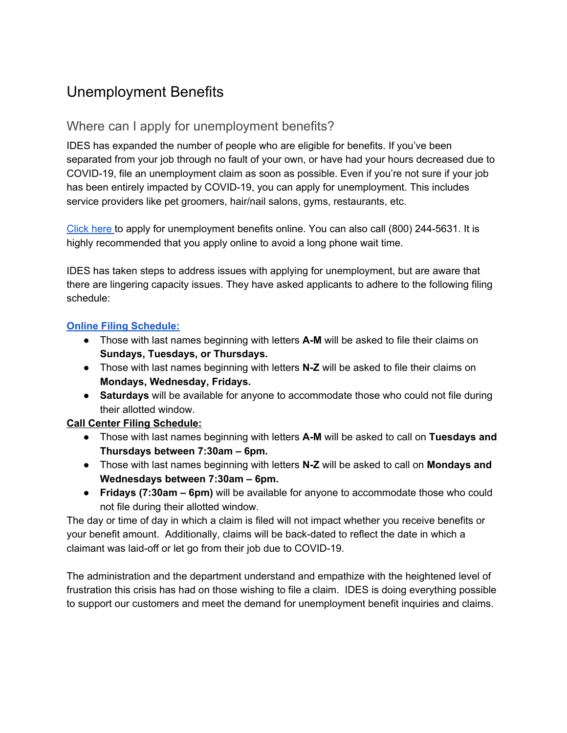# <span id="page-30-0"></span>Unemployment Benefits

## <span id="page-30-1"></span>Where can I apply for unemployment benefits?

IDES has expanded the number of people who are eligible for benefits. If you've been separated from your job through no fault of your own, or have had your hours decreased due to COVID-19, file an unemployment claim as soon as possible. Even if you're not sure if your job has been entirely impacted by COVID-19, you can apply for unemployment. This includes service providers like pet groomers, hair/nail salons, gyms, restaurants, etc.

[Click](https://www2.illinois.gov/ides/individuals/UnemploymentInsurance) here to apply for unemployment benefits online. You can also call (800) 244-5631. It is highly recommended that you apply online to avoid a long phone wait time.

IDES has taken steps to address issues with applying for unemployment, but are aware that there are lingering capacity issues. They have asked applicants to adhere to the following filing schedule:

## **Online Filing [Schedule:](https://drive.google.com/open?id=1_vdtxzIjKHyVWQ6hRtSC6qqIqwluZFqz)**

- Those with last names beginning with letters **A-M** will be asked to file their claims on **Sundays, Tuesdays, or Thursdays.**
- Those with last names beginning with letters **N-Z** will be asked to file their claims on **Mondays, Wednesday, Fridays.**
- **Saturdays** will be available for anyone to accommodate those who could not file during their allotted window.

## **Call Center Filing Schedule:**

- Those with last names beginning with letters **A-M** will be asked to call on **Tuesdays and Thursdays between 7:30am – 6pm.**
- Those with last names beginning with letters **N-Z** will be asked to call on **Mondays and Wednesdays between 7:30am – 6pm.**
- **Fridays (7:30am – 6pm)** will be available for anyone to accommodate those who could not file during their allotted window.

The day or time of day in which a claim is filed will not impact whether you receive benefits or your benefit amount. Additionally, claims will be back-dated to reflect the date in which a claimant was laid-off or let go from their job due to COVID-19.

The administration and the department understand and empathize with the heightened level of frustration this crisis has had on those wishing to file a claim. IDES is doing everything possible to support our customers and meet the demand for unemployment benefit inquiries and claims.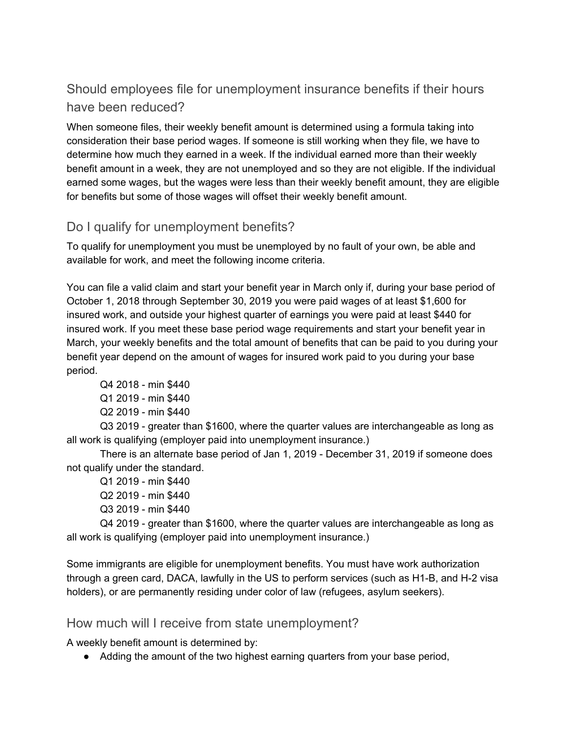# <span id="page-31-0"></span>Should employees file for unemployment insurance benefits if their hours have been reduced?

When someone files, their weekly benefit amount is determined using a formula taking into consideration their base period wages. If someone is still working when they file, we have to determine how much they earned in a week. If the individual earned more than their weekly benefit amount in a week, they are not unemployed and so they are not eligible. If the individual earned some wages, but the wages were less than their weekly benefit amount, they are eligible for benefits but some of those wages will offset their weekly benefit amount.

## <span id="page-31-1"></span>Do I qualify for unemployment benefits?

To qualify for unemployment you must be unemployed by no fault of your own, be able and available for work, and meet the following income criteria.

You can file a valid claim and start your benefit year in March only if, during your base period of October 1, 2018 through September 30, 2019 you were paid wages of at least \$1,600 for insured work, and outside your highest quarter of earnings you were paid at least \$440 for insured work. If you meet these base period wage requirements and start your benefit year in March, your weekly benefits and the total amount of benefits that can be paid to you during your benefit year depend on the amount of wages for insured work paid to you during your base period.

Q4 2018 - min \$440 Q1 2019 - min \$440 Q2 2019 - min \$440

Q3 2019 - greater than \$1600, where the quarter values are interchangeable as long as all work is qualifying (employer paid into unemployment insurance.)

There is an alternate base period of Jan 1, 2019 - December 31, 2019 if someone does not qualify under the standard.

Q1 2019 - min \$440 Q2 2019 - min \$440 Q3 2019 - min \$440

Q4 2019 - greater than \$1600, where the quarter values are interchangeable as long as all work is qualifying (employer paid into unemployment insurance.)

Some immigrants are eligible for unemployment benefits. You must have work authorization through a green card, DACA, lawfully in the US to perform services (such as H1-B, and H-2 visa holders), or are permanently residing under color of law (refugees, asylum seekers).

## <span id="page-31-2"></span>How much will I receive from state unemployment?

A weekly benefit amount is determined by:

● Adding the amount of the two highest earning quarters from your base period,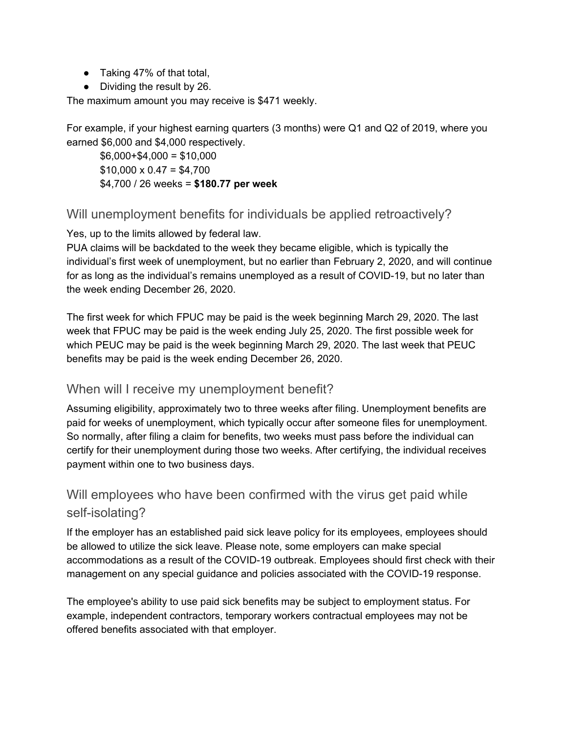- Taking 47% of that total,
- Dividing the result by 26.

The maximum amount you may receive is \$471 weekly.

For example, if your highest earning quarters (3 months) were Q1 and Q2 of 2019, where you earned \$6,000 and \$4,000 respectively.

 $$6,000+$4,000 = $10,000$  $$10,000 \times 0.47 = $4,700$ \$4,700 / 26 weeks = **\$180.77 per week**

## <span id="page-32-0"></span>Will unemployment benefits for individuals be applied retroactively?

Yes, up to the limits allowed by federal law.

PUA claims will be backdated to the week they became eligible, which is typically the individual's first week of unemployment, but no earlier than February 2, 2020, and will continue for as long as the individual's remains unemployed as a result of COVID-19, but no later than the week ending December 26, 2020.

The first week for which FPUC may be paid is the week beginning March 29, 2020. The last week that FPUC may be paid is the week ending July 25, 2020. The first possible week for which PEUC may be paid is the week beginning March 29, 2020. The last week that PEUC benefits may be paid is the week ending December 26, 2020.

## <span id="page-32-1"></span>When will I receive my unemployment benefit?

Assuming eligibility, approximately two to three weeks after filing. Unemployment benefits are paid for weeks of unemployment, which typically occur after someone files for unemployment. So normally, after filing a claim for benefits, two weeks must pass before the individual can certify for their unemployment during those two weeks. After certifying, the individual receives payment within one to two business days.

## <span id="page-32-2"></span>Will employees who have been confirmed with the virus get paid while self-isolating?

If the employer has an established paid sick leave policy for its employees, employees should be allowed to utilize the sick leave. Please note, some employers can make special accommodations as a result of the COVID-19 outbreak. Employees should first check with their management on any special guidance and policies associated with the COVID-19 response.

The employee's ability to use paid sick benefits may be subject to employment status. For example, independent contractors, temporary workers contractual employees may not be offered benefits associated with that employer.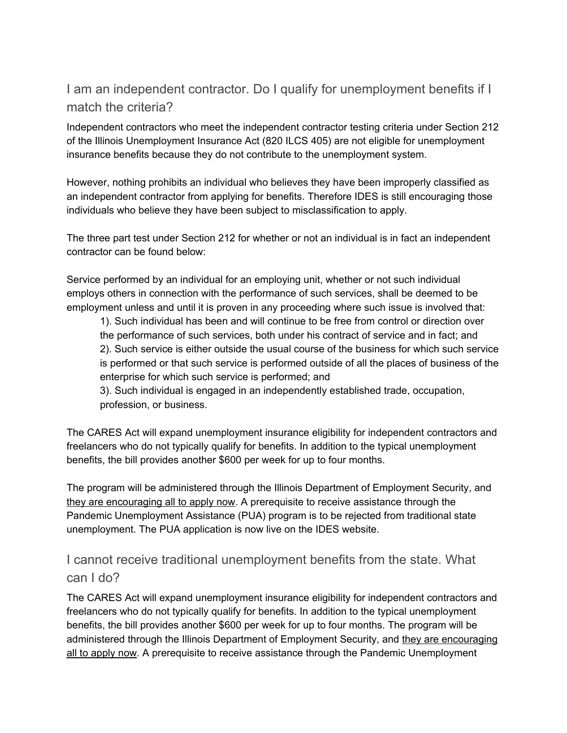# <span id="page-33-0"></span>I am an independent contractor. Do I qualify for unemployment benefits if I match the criteria?

Independent contractors who meet the independent contractor testing criteria under Section 212 of the Illinois Unemployment Insurance Act (820 ILCS 405) are not eligible for unemployment insurance benefits because they do not contribute to the unemployment system.

However, nothing prohibits an individual who believes they have been improperly classified as an independent contractor from applying for benefits. Therefore IDES is still encouraging those individuals who believe they have been subject to misclassification to apply.

The three part test under Section 212 for whether or not an individual is in fact an independent contractor can be found below:

Service performed by an individual for an employing unit, whether or not such individual employs others in connection with the performance of such services, shall be deemed to be employment unless and until it is proven in any proceeding where such issue is involved that:

1). Such individual has been and will continue to be free from control or direction over the performance of such services, both under his contract of service and in fact; and 2). Such service is either outside the usual course of the business for which such service is performed or that such service is performed outside of all the places of business of the enterprise for which such service is performed; and

3). Such individual is engaged in an independently established trade, occupation, profession, or business.

The CARES Act will expand unemployment insurance eligibility for independent contractors and freelancers who do not typically qualify for benefits. In addition to the typical unemployment benefits, the bill provides another \$600 per week for up to four months.

The program will be administered through the Illinois Department of Employment Security, and they are encouraging all to apply now. A prerequisite to receive assistance through the Pandemic Unemployment Assistance (PUA) program is to be rejected from traditional state unemployment. The PUA application is now live on the IDES website.

## <span id="page-33-1"></span>I cannot receive traditional unemployment benefits from the state. What can I do?

The CARES Act will expand unemployment insurance eligibility for independent contractors and freelancers who do not typically qualify for benefits. In addition to the typical unemployment benefits, the bill provides another \$600 per week for up to four months. The program will be administered through the Illinois Department of Employment Security, and they are encouraging all to apply now. A prerequisite to receive assistance through the Pandemic Unemployment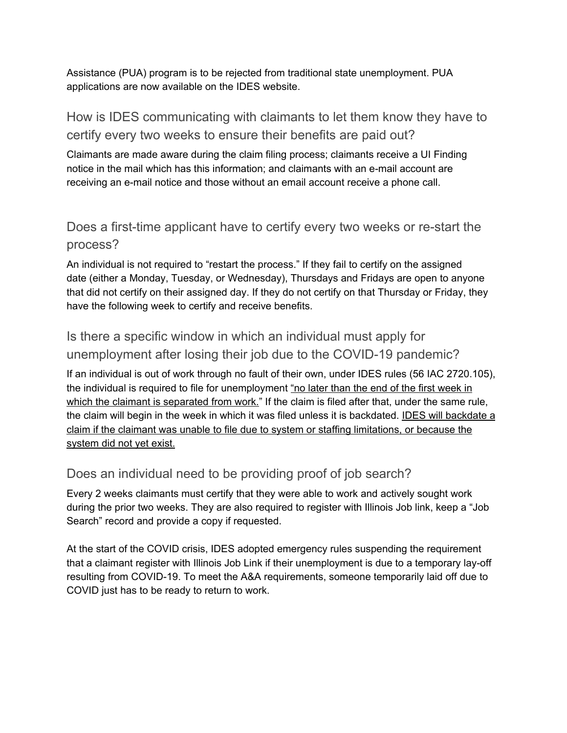Assistance (PUA) program is to be rejected from traditional state unemployment. PUA applications are now available on the IDES website.

<span id="page-34-0"></span>How is IDES communicating with claimants to let them know they have to certify every two weeks to ensure their benefits are paid out?

Claimants are made aware during the claim filing process; claimants receive a UI Finding notice in the mail which has this information; and claimants with an e-mail account are receiving an e-mail notice and those without an email account receive a phone call.

# <span id="page-34-1"></span>Does a first-time applicant have to certify every two weeks or re-start the process?

An individual is not required to "restart the process." If they fail to certify on the assigned date (either a Monday, Tuesday, or Wednesday), Thursdays and Fridays are open to anyone that did not certify on their assigned day. If they do not certify on that Thursday or Friday, they have the following week to certify and receive benefits.

# <span id="page-34-2"></span>Is there a specific window in which an individual must apply for unemployment after losing their job due to the COVID-19 pandemic?

If an individual is out of work through no fault of their own, under IDES rules (56 IAC 2720.105), the individual is required to file for unemployment "no later than the end of the first week in which the claimant is separated from work." If the claim is filed after that, under the same rule, the claim will begin in the week in which it was filed unless it is backdated. IDES will backdate a claim if the claimant was unable to file due to system or staffing limitations, or because the system did not yet exist.

## <span id="page-34-3"></span>Does an individual need to be providing proof of job search?

Every 2 weeks claimants must certify that they were able to work and actively sought work during the prior two weeks. They are also required to register with Illinois Job link, keep a "Job Search" record and provide a copy if requested.

At the start of the COVID crisis, IDES adopted emergency rules suspending the requirement that a claimant register with Illinois Job Link if their unemployment is due to a temporary lay-off resulting from COVID-19. To meet the A&A requirements, someone temporarily laid off due to COVID just has to be ready to return to work.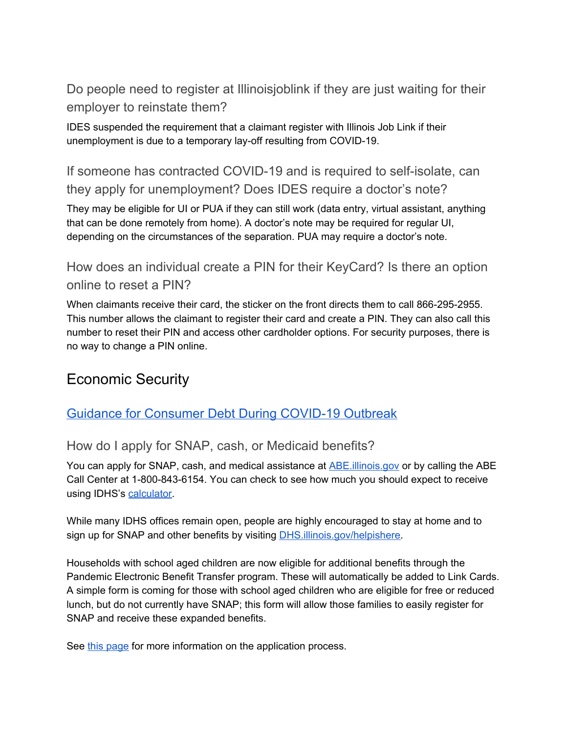<span id="page-35-0"></span>Do people need to register at Illinoisjoblink if they are just waiting for their employer to reinstate them?

IDES suspended the requirement that a claimant register with Illinois Job Link if their unemployment is due to a temporary lay-off resulting from COVID-19.

<span id="page-35-1"></span>If someone has contracted COVID-19 and is required to self-isolate, can they apply for unemployment? Does IDES require a doctor's note?

They may be eligible for UI or PUA if they can still work (data entry, virtual assistant, anything that can be done remotely from home). A doctor's note may be required for regular UI, depending on the circumstances of the separation. PUA may require a doctor's note.

<span id="page-35-2"></span>How does an individual create a PIN for their KeyCard? Is there an option online to reset a PIN?

When claimants receive their card, the sticker on the front directs them to call 866-295-2955. This number allows the claimant to register their card and create a PIN. They can also call this number to reset their PIN and access other cardholder options. For security purposes, there is no way to change a PIN online.

# <span id="page-35-3"></span>Economic Security

## <span id="page-35-4"></span>Guidance for [Consumer](https://drive.google.com/open?id=1GB2ZeCTqTtk_nUMYTdFjMrIGOz1sCbVl) Debt During COVID-19 Outbreak

## <span id="page-35-5"></span>How do I apply for SNAP, cash, or Medicaid benefits?

You can apply for SNAP, cash, and medical assistance at [ABE.illinois.gov](http://abe.illinois.gov/) or by calling the ABE Call Center at 1-800-843-6154. You can check to see how much you should expect to receive using IDHS's [calculator.](http://fscalc.dhs.illinois.gov/FSCalc/)

While many IDHS offices remain open, people are highly encouraged to stay at home and to sign up for SNAP and other benefits by visiting [DHS.illinois.gov/helpishere.](http://dhs.illinois.gov/helpishere)

Households with school aged children are now eligible for additional benefits through the Pandemic Electronic Benefit Transfer program. These will automatically be added to Link Cards. A simple form is coming for those with school aged children who are eligible for free or reduced lunch, but do not currently have SNAP; this form will allow those families to easily register for SNAP and receive these expanded benefits.

See this [page](https://www.dhs.state.il.us/page.aspx?item=33698) for more information on the application process.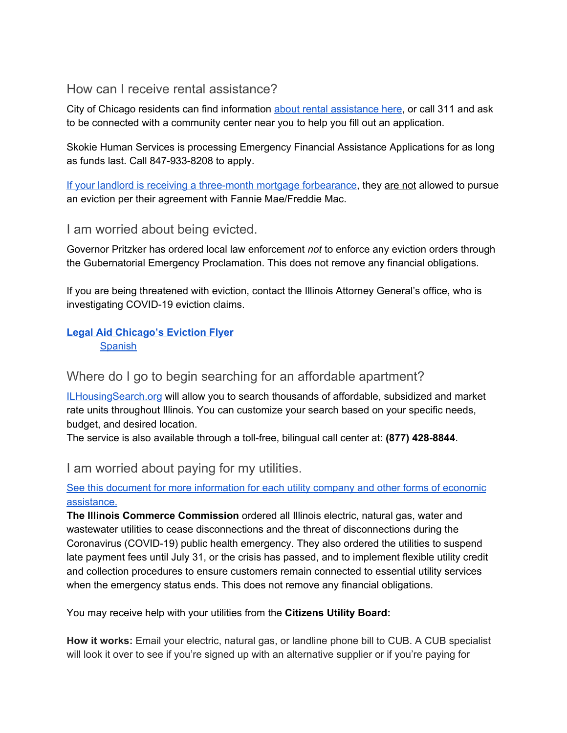<span id="page-36-0"></span>How can I receive rental assistance?

City of Chicago residents can find information about rental [assistance](https://www.chicago.gov/city/en/depts/fss/provdrs/serv/svcs/how_to_find_rentalassistanceinchicago.html?fbclid=IwAR2Gpz9YR92TernnWkGc4AsVSBfBAjbq5H-l3JoDAd3GwPmKtcCr6LwTXYU) here, or call 311 and ask to be connected with a community center near you to help you fill out an application.

Skokie Human Services is processing Emergency Financial Assistance Applications for as long as funds last. Call 847-933-8208 to apply.

If your landlord is receiving a [three-month](http://fanniemae.com/portal/media/corporate-news/2020/renters-covid-19-multifamily-7002.html) mortgage forbearance, they are not allowed to pursue an eviction per their agreement with Fannie Mae/Freddie Mac.

<span id="page-36-1"></span>I am worried about being evicted.

Governor Pritzker has ordered local law enforcement *not* to enforce any eviction orders through the Gubernatorial Emergency Proclamation. This does not remove any financial obligations.

If you are being threatened with eviction, contact the Illinois Attorney General's office, who is investigating COVID-19 eviction claims.

## **Legal Aid [Chicago's](https://drive.google.com/open?id=1h1bY38Z8H4P2454HRoOzuDQM6GToCDfg) Eviction Flyer [Spanish](https://drive.google.com/open?id=1rBcnOrKNRojyf05z65ljxIhPJngtHs4u)**

## <span id="page-36-2"></span>Where do I go to begin searching for an affordable apartment?

[ILHousingSearch.org](http://ilhousingsearch.org/) will allow you to search thousands of affordable, subsidized and market rate units throughout Illinois. You can customize your search based on your specific needs, budget, and desired location.

<span id="page-36-3"></span>The service is also available through a toll-free, bilingual call center at: **(877) 428-8844**.

I am worried about paying for my utilities.

## See this document for more [information](https://docs.google.com/document/d/13nRu-09VDYTlcMO_etShaMj6OzWXqqZ89nOTMnza43c/edit?usp=sharing) for each utility company and other forms of economic [assistance.](https://docs.google.com/document/d/13nRu-09VDYTlcMO_etShaMj6OzWXqqZ89nOTMnza43c/edit?usp=sharing)

**The Illinois Commerce Commission** ordered all Illinois electric, natural gas, water and wastewater utilities to cease disconnections and the threat of disconnections during the Coronavirus (COVID-19) public health emergency. They also ordered the utilities to suspend late payment fees until July 31, or the crisis has passed, and to implement flexible utility credit and collection procedures to ensure customers remain connected to essential utility services when the emergency status ends. This does not remove any financial obligations.

You may receive help with your utilities from the **Citizens Utility Board:**

**How it works:** Email your electric, natural gas, or landline phone bill to CUB. A CUB specialist will look it over to see if you're signed up with an alternative supplier or if you're paying for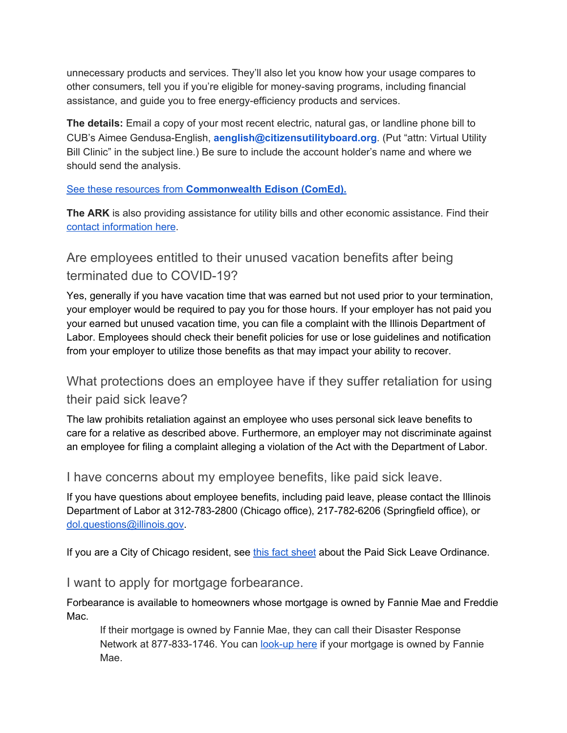unnecessary products and services. They'll also let you know how your usage compares to other consumers, tell you if you're eligible for money-saving programs, including financial assistance, and guide you to free energy-efficiency products and services.

**The details:** Email a copy of your most recent electric, natural gas, or landline phone bill to CUB's Aimee Gendusa-English, **aenglish@citizensutilityboard.org**. (Put "attn: Virtual Utility Bill Clinic" in the subject line.) Be sure to include the account holder's name and where we should send the analysis.

See these [resources](https://drive.google.com/file/d/1LtEDHyFR4Ukeq4XxKMQNiPQ4E3b6K7yo/view?usp=sharing) from **[Commonwealth](https://drive.google.com/file/d/1LtEDHyFR4Ukeq4XxKMQNiPQ4E3b6K7yo/view?usp=sharing) Edison (ComEd).**

**The ARK** is also providing assistance for utility bills and other economic assistance. Find their contact [information](https://arkchicago.org/contact-us/) here.

<span id="page-37-0"></span>Are employees entitled to their unused vacation benefits after being terminated due to COVID-19?

Yes, generally if you have vacation time that was earned but not used prior to your termination, your employer would be required to pay you for those hours. If your employer has not paid you your earned but unused vacation time, you can file a complaint with the Illinois Department of Labor. Employees should check their benefit policies for use or lose guidelines and notification from your employer to utilize those benefits as that may impact your ability to recover.

# <span id="page-37-1"></span>What protections does an employee have if they suffer retaliation for using their paid sick leave?

The law prohibits retaliation against an employee who uses personal sick leave benefits to care for a relative as described above. Furthermore, an employer may not discriminate against an employee for filing a complaint alleging a violation of the Act with the Department of Labor.

<span id="page-37-2"></span>I have concerns about my employee benefits, like paid sick leave.

If you have questions about employee benefits, including paid leave, please contact the Illinois Department of Labor at 312-783-2800 (Chicago office), 217-782-6206 (Springfield office), or [dol.questions@illinois.gov.](mailto:dol.questions@illinois.gov)

<span id="page-37-3"></span>If you are a City of Chicago resident, see this fact [sheet](https://drive.google.com/file/d/1tKKzFZgeYER-LxssM6B9Eaxwtnvew3T0/view?usp=sharing) about the Paid Sick Leave Ordinance.

I want to apply for mortgage forbearance.

Forbearance is available to homeowners whose mortgage is owned by Fannie Mae and Freddie Mac.

If their mortgage is owned by Fannie Mae, they can call their Disaster Response Network at 877-833-1746. You can [look-up](https://www.knowyouroptions.com/loanlookup) here if your mortgage is owned by Fannie Mae.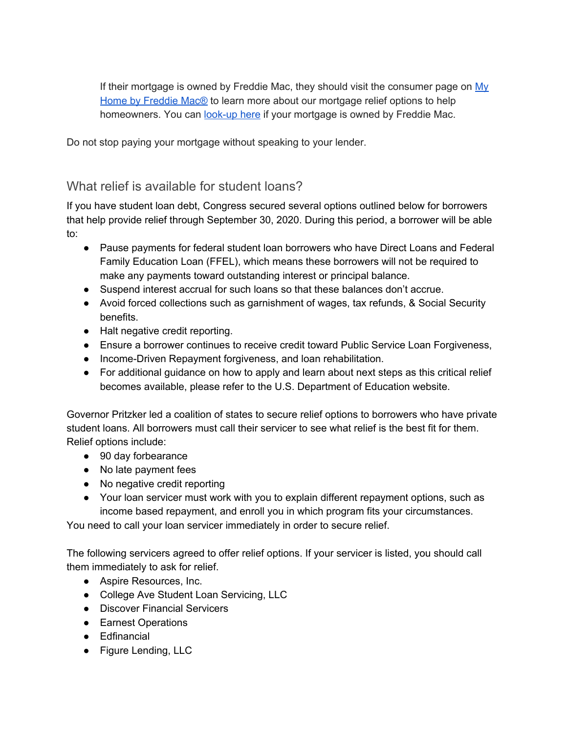If their mortgage is owned by Freddie Mac, they should visit the consumer page on  $Mv$ Home by [Freddie](http://myhome.freddiemac.com/own/getting-help-disaster.html) Mac® to learn more about our mortgage relief options to help homeowners. You can [look-up](https://ww3.freddiemac.com/loanlookup/) here if your mortgage is owned by Freddie Mac.

Do not stop paying your mortgage without speaking to your lender.

## <span id="page-38-0"></span>What relief is available for student loans?

If you have student loan debt, Congress secured several options outlined below for borrowers that help provide relief through September 30, 2020. During this period, a borrower will be able to:

- Pause payments for federal student loan borrowers who have Direct Loans and Federal Family Education Loan (FFEL), which means these borrowers will not be required to make any payments toward outstanding interest or principal balance.
- Suspend interest accrual for such loans so that these balances don't accrue.
- Avoid forced collections such as garnishment of wages, tax refunds, & Social Security benefits.
- Halt negative credit reporting.
- Ensure a borrower continues to receive credit toward Public Service Loan Forgiveness,
- Income-Driven Repayment forgiveness, and loan rehabilitation.
- For additional guidance on how to apply and learn about next steps as this critical relief becomes available, please refer to the U.S. Department of Education website.

Governor Pritzker led a coalition of states to secure relief options to borrowers who have private student loans. All borrowers must call their servicer to see what relief is the best fit for them. Relief options include:

- 90 day forbearance
- No late payment fees
- No negative credit reporting
- Your loan servicer must work with you to explain different repayment options, such as income based repayment, and enroll you in which program fits your circumstances.

You need to call your loan servicer immediately in order to secure relief.

The following servicers agreed to offer relief options. If your servicer is listed, you should call them immediately to ask for relief.

- Aspire Resources, Inc.
- College Ave Student Loan Servicing, LLC
- Discover Financial Servicers
- Earnest Operations
- Edfinancial
- Figure Lending, LLC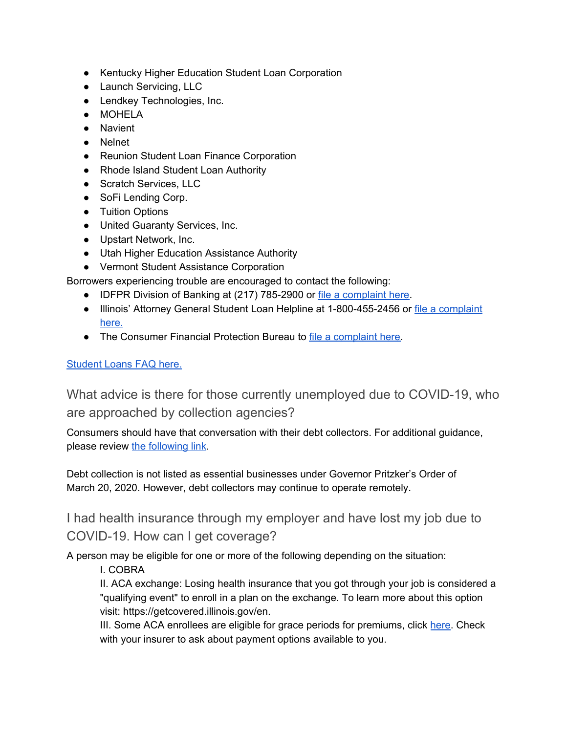- Kentucky Higher Education Student Loan Corporation
- Launch Servicing, LLC
- Lendkey Technologies, Inc.
- MOHELA
- Navient
- Nelnet
- Reunion Student Loan Finance Corporation
- Rhode Island Student Loan Authority
- Scratch Services, LLC
- SoFi Lending Corp.
- Tuition Options
- United Guaranty Services, Inc.
- Upstart Network, Inc.
- Utah Higher Education Assistance Authority
- Vermont Student Assistance Corporation

Borrowers experiencing trouble are encouraged to contact the following:

- IDFPR Division of Banking at (217) 785-2900 or file a [complaint](https://www.idfpr.com/admin/banks/DoBcomplaints.asp) here.
- Illinois' Attorney General Student Loan Helpline at 1-800-455-2456 or file a [complaint](https://illinoisattorneygeneral.gov/consumers/filecomplaint.html) [here.](https://illinoisattorneygeneral.gov/consumers/filecomplaint.html)
- The Consumer Financial Protection Bureau to file a [complaint](https://www.consumerfinance.gov/complaint/) here.

## <span id="page-39-0"></span>[Student](https://drive.google.com/open?id=1HiRiD8BQA_WK9ngcX4eUnqwNv7uZYK42) Loans FAQ here.

What advice is there for those currently unemployed due to COVID-19, who are approached by collection agencies?

Consumers should have that conversation with their debt collectors. For additional guidance, please review the [following](https://www.idfpr.com/News/2020/2020%2003%2030%20IDFPR%20financial%20guidance.pdf) link.

Debt collection is not listed as essential businesses under Governor Pritzker's Order of March 20, 2020. However, debt collectors may continue to operate remotely.

<span id="page-39-1"></span>I had health insurance through my employer and have lost my job due to COVID-19. How can I get coverage?

A person may be eligible for one or more of the following depending on the situation:

I. COBRA

II. ACA exchange: Losing health insurance that you got through your job is considered a "qualifying event" to enroll in a plan on the exchange. To learn more about this option visit: https://getcovered.illinois.gov/en.

III. Some ACA enrollees are eligible for grace periods for premiums, click [here.](https://www.healthcare.gov/glossary/grace-period/) Check with your insurer to ask about payment options available to you.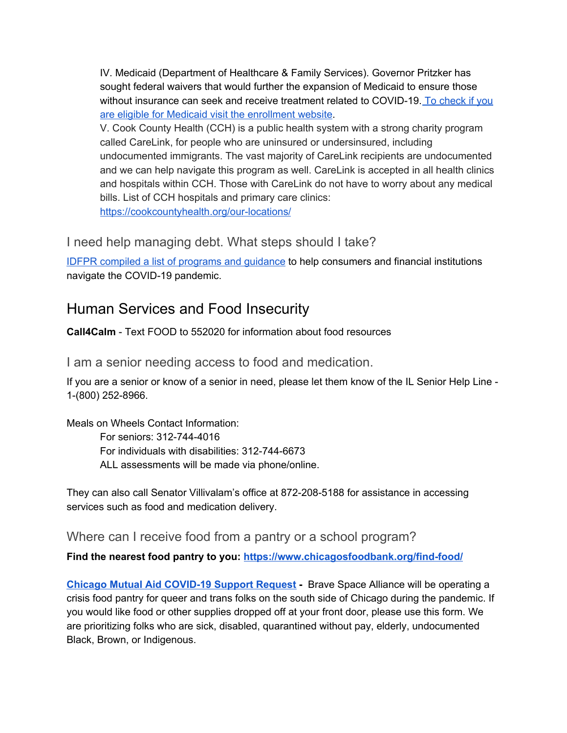IV. Medicaid (Department of Healthcare & Family Services). Governor Pritzker has sought federal waivers that would further the expansion of Medicaid to ensure those without insurance can seek and receive treatment related to COVID-19. To [check](https://www.illinois.gov/hfs/MedicalClients/Pages/AbeBenefits.aspx) if you are eligible for Medicaid visit the [enrollment](https://www.illinois.gov/hfs/MedicalClients/Pages/AbeBenefits.aspx) website.

V. Cook County Health (CCH) is a public health system with a strong charity program called CareLink, for people who are uninsured or undersinsured, including undocumented immigrants. The vast majority of CareLink recipients are undocumented and we can help navigate this program as well. CareLink is accepted in all health clinics and hospitals within CCH. Those with CareLink do not have to worry about any medical bills. List of CCH hospitals and primary care clinics: <https://cookcountyhealth.org/our-locations/>

<span id="page-40-0"></span>I need help managing debt. What steps should I take?

IDFPR compiled a list of [programs](https://drive.google.com/open?id=1OHG0Cfzc0CKGecMzrIcxSCRuqMLBq3ZT) and guidance to help consumers and financial institutions navigate the COVID-19 pandemic.

# <span id="page-40-1"></span>Human Services and Food Insecurity

<span id="page-40-2"></span>**Call4Calm** - Text FOOD to 552020 for information about food resources

I am a senior needing access to food and medication.

If you are a senior or know of a senior in need, please let them know of the IL Senior Help Line - 1-(800) 252-8966.

Meals on Wheels Contact Information: For seniors: 312-744-4016 For individuals with disabilities: 312-744-6673 ALL assessments will be made via phone/online.

They can also call Senator Villivalam's office at 872-208-5188 for assistance in accessing services such as food and medication delivery.

<span id="page-40-3"></span>Where can I receive food from a pantry or a school program?

**Find the nearest food pantry to you: <https://www.chicagosfoodbank.org/find-food/>**

**Chicago Mutual Aid [COVID-19](https://docs.google.com/forms/d/e/1FAIpQLSelaHe7IlGXJcn7IcrBKn9pTYx_lW4kPktkR9MCLzjOijBrUQ/viewform) Support Request -** Brave Space Alliance will be operating a crisis food pantry for queer and trans folks on the south side of Chicago during the pandemic. If you would like food or other supplies dropped off at your front door, please use this form. We are prioritizing folks who are sick, disabled, quarantined without pay, elderly, undocumented Black, Brown, or Indigenous.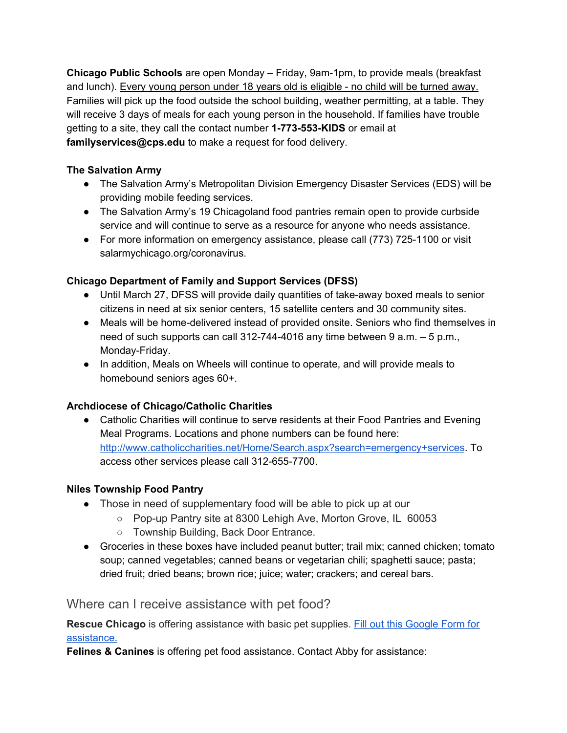**Chicago Public Schools** are open Monday – Friday, 9am-1pm, to provide meals (breakfast and lunch). Every young person under 18 years old is eligible - no child will be turned away. Families will pick up the food outside the school building, weather permitting, at a table. They will receive 3 days of meals for each young person in the household. If families have trouble getting to a site, they call the contact number **1-773-553-KIDS** or email at **familyservices@cps.edu** to make a request for food delivery.

## **The Salvation Army**

- The Salvation Army's Metropolitan Division Emergency Disaster Services (EDS) will be providing mobile feeding services.
- The Salvation Army's 19 Chicagoland food pantries remain open to provide curbside service and will continue to serve as a resource for anyone who needs assistance.
- For more information on emergency assistance, please call (773) 725-1100 or visit salarmychicago.org/coronavirus.

## **Chicago Department of Family and Support Services (DFSS)**

- Until March 27, DFSS will provide daily quantities of take-away boxed meals to senior citizens in need at six senior centers, 15 satellite centers and 30 community sites.
- Meals will be home-delivered instead of provided onsite. Seniors who find themselves in need of such supports can call 312-744-4016 any time between 9 a.m. – 5 p.m., Monday-Friday.
- In addition, Meals on Wheels will continue to operate, and will provide meals to homebound seniors ages 60+.

## **Archdiocese of Chicago/Catholic Charities**

• Catholic Charities will continue to serve residents at their Food Pantries and Evening Meal Programs. Locations and phone numbers can be found here: <http://www.catholiccharities.net/Home/Search.aspx?search=emergency+services>. To access other services please call 312-655-7700.

## **Niles Township Food Pantry**

- Those in need of supplementary food will be able to pick up at our
	- Pop-up Pantry site at 8300 Lehigh Ave, Morton Grove, IL 60053
	- Township Building, Back Door Entrance.
- Groceries in these boxes have included peanut butter; trail mix; canned chicken; tomato soup; canned vegetables; canned beans or vegetarian chili; spaghetti sauce; pasta; dried fruit; dried beans; brown rice; juice; water; crackers; and cereal bars.

## <span id="page-41-0"></span>Where can I receive assistance with pet food?

**Rescue Chicago** is offering assistance with basic pet supplies. Fill out this [Google](https://docs.google.com/forms/d/1LwNtXEscGLryhtSL47CprIC_6uEvAoiDFOWOA4wovpQ/viewform?edit_requested=true) Form for [assistance.](https://docs.google.com/forms/d/1LwNtXEscGLryhtSL47CprIC_6uEvAoiDFOWOA4wovpQ/viewform?edit_requested=true)

**Felines & Canines** is offering pet food assistance. Contact Abby for assistance: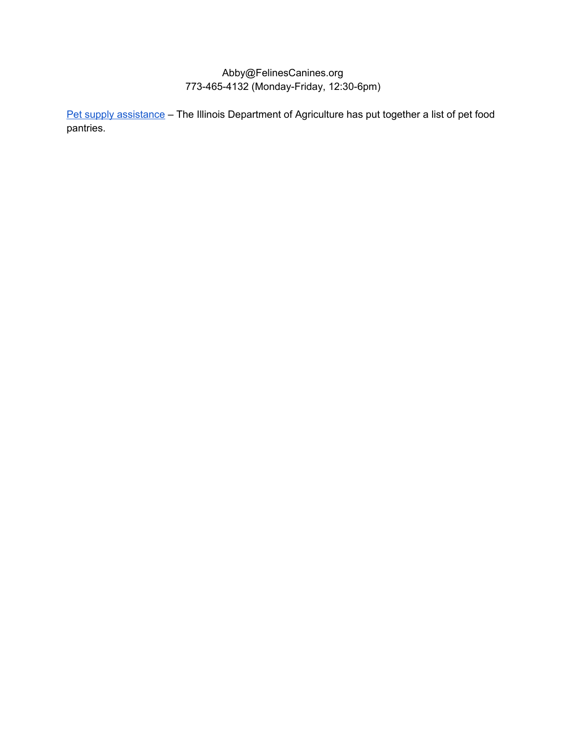## Abby@FelinesCanines.org 773-465-4132 (Monday-Friday, 12:30-6pm)

Pet supply [assistance](https://www2.illinois.gov/sites/agr/Animals/AnimalHealth/Pages/Pet-Food-Pantries.aspx?fbclid=IwAR32p9qOuJS8VezdzSB-ByoMVl32D5MIdt7NZscPbBAzYRvQdRc_CoweEvo) - The Illinois Department of Agriculture has put together a list of pet food pantries.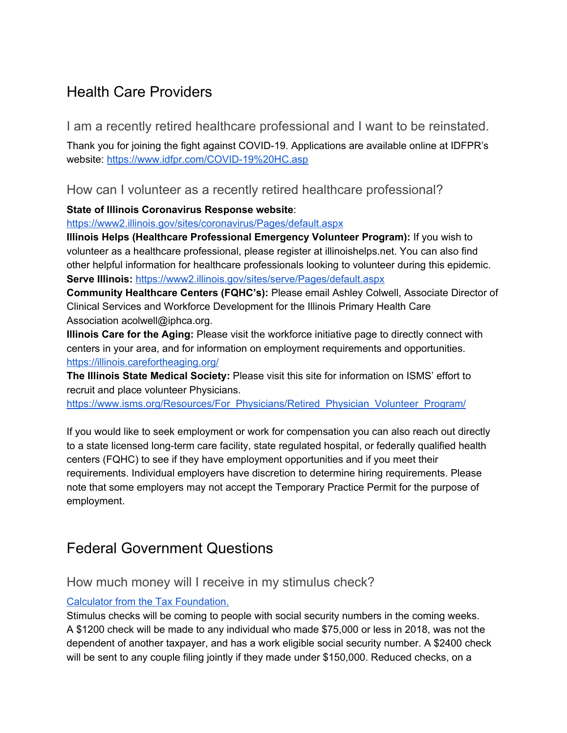# <span id="page-43-0"></span>Health Care Providers

<span id="page-43-1"></span>I am a recently retired healthcare professional and I want to be reinstated.

Thank you for joining the fight against COVID-19. Applications are available online at IDFPR's website: <https://www.idfpr.com/COVID-19%20HC.asp>

<span id="page-43-2"></span>How can I volunteer as a recently retired healthcare professional?

**State of Illinois Coronavirus Response website**:

<https://www2.illinois.gov/sites/coronavirus/Pages/default.aspx>

**Illinois Helps (Healthcare Professional Emergency Volunteer Program):** If you wish to volunteer as a healthcare professional, please register at illinoishelps.net. You can also find other helpful information for healthcare professionals looking to volunteer during this epidemic. **Serve Illinois:** <https://www2.illinois.gov/sites/serve/Pages/default.aspx>

**Community Healthcare Centers (FQHC's):** Please email Ashley Colwell, Associate Director of Clinical Services and Workforce Development for the Illinois Primary Health Care Association acolwell@iphca.org.

**Illinois Care for the Aging:** Please visit the workforce initiative page to directly connect with centers in your area, and for information on employment requirements and opportunities. <https://illinois.carefortheaging.org/>

**The Illinois State Medical Society:** Please visit this site for information on ISMS' effort to recruit and place volunteer Physicians.

[https://www.isms.org/Resources/For\\_Physicians/Retired\\_Physician\\_Volunteer\\_Program/](https://www.isms.org/Resources/For_Physicians/Retired_Physician_Volunteer_Program/)

If you would like to seek employment or work for compensation you can also reach out directly to a state licensed long-term care facility, state regulated hospital, or federally qualified health centers (FQHC) to see if they have employment opportunities and if you meet their requirements. Individual employers have discretion to determine hiring requirements. Please note that some employers may not accept the Temporary Practice Permit for the purpose of employment.

# <span id="page-43-3"></span>Federal Government Questions

## <span id="page-43-4"></span>How much money will I receive in my stimulus check?

## Calculator from the Tax [Foundation.](https://taxfoundation.org/federal-coronavirus-relief-bill-cares-act/?utm_source=Tax+Foundation+Newsletters&utm_campaign=7664c118e0-EMAIL_CAMPAIGN_2019_10_17_07_28_COPY_01&utm_medium=email&utm_term=0_8387957ec9-7664c118e0-429417933&mc_cid=7664c118e0&mc_eid=12c1c2a0c3#1)

Stimulus checks will be coming to people with social security numbers in the coming weeks. A \$1200 check will be made to any individual who made \$75,000 or less in 2018, was not the dependent of another taxpayer, and has a work eligible social security number. A \$2400 check will be sent to any couple filing jointly if they made under \$150,000. Reduced checks, on a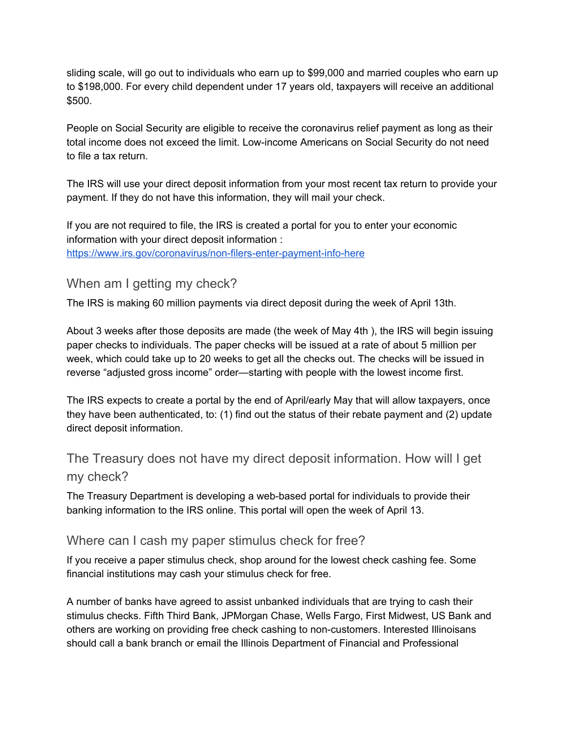sliding scale, will go out to individuals who earn up to \$99,000 and married couples who earn up to \$198,000. For every child dependent under 17 years old, taxpayers will receive an additional \$500.

People on Social Security are eligible to receive the coronavirus relief payment as long as their total income does not exceed the limit. Low-income Americans on Social Security do not need to file a tax return.

The IRS will use your direct deposit information from your most recent tax return to provide your payment. If they do not have this information, they will mail your check.

If you are not required to file, the IRS is created a portal for you to enter your economic information with your direct deposit information : <https://www.irs.gov/coronavirus/non-filers-enter-payment-info-here>

## <span id="page-44-0"></span>When am I getting my check?

The IRS is making 60 million payments via direct deposit during the week of April 13th.

About 3 weeks after those deposits are made (the week of May 4th ), the IRS will begin issuing paper checks to individuals. The paper checks will be issued at a rate of about 5 million per week, which could take up to 20 weeks to get all the checks out. The checks will be issued in reverse "adjusted gross income" order—starting with people with the lowest income first.

The IRS expects to create a portal by the end of April/early May that will allow taxpayers, once they have been authenticated, to: (1) find out the status of their rebate payment and (2) update direct deposit information.

## <span id="page-44-1"></span>The Treasury does not have my direct deposit information. How will I get my check?

The Treasury Department is developing a web-based portal for individuals to provide their banking information to the IRS online. This portal will open the week of April 13.

## <span id="page-44-2"></span>Where can I cash my paper stimulus check for free?

If you receive a paper stimulus check, shop around for the lowest check cashing fee. Some financial institutions may cash your stimulus check for free.

A number of banks have agreed to assist unbanked individuals that are trying to cash their stimulus checks. Fifth Third Bank, JPMorgan Chase, Wells Fargo, First Midwest, US Bank and others are working on providing free check cashing to non-customers. Interested Illinoisans should call a bank branch or email the Illinois Department of Financial and Professional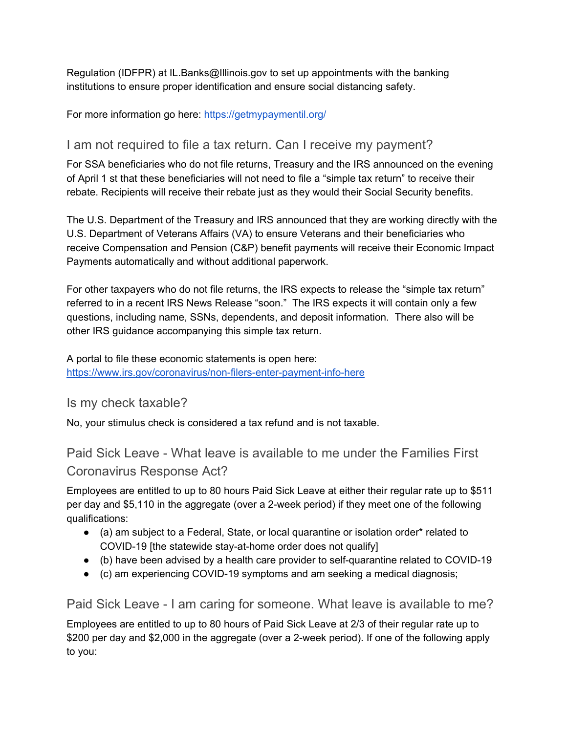Regulation (IDFPR) at IL.Banks@Illinois.gov to set up appointments with the banking institutions to ensure proper identification and ensure social distancing safety.

<span id="page-45-0"></span>For more information go here: <https://getmypaymentil.org/>

## I am not required to file a tax return. Can I receive my payment?

For SSA beneficiaries who do not file returns, Treasury and the IRS announced on the evening of April 1 st that these beneficiaries will not need to file a "simple tax return" to receive their rebate. Recipients will receive their rebate just as they would their Social Security benefits.

The U.S. Department of the Treasury and IRS announced that they are working directly with the U.S. Department of Veterans Affairs (VA) to ensure Veterans and their beneficiaries who receive Compensation and Pension (C&P) benefit payments will receive their Economic Impact Payments automatically and without additional paperwork.

For other taxpayers who do not file returns, the IRS expects to release the "simple tax return" referred to in a recent IRS News Release "soon." The IRS expects it will contain only a few questions, including name, SSNs, dependents, and deposit information. There also will be other IRS guidance accompanying this simple tax return.

A portal to file these economic statements is open here: <https://www.irs.gov/coronavirus/non-filers-enter-payment-info-here>

<span id="page-45-1"></span>Is my check taxable?

<span id="page-45-2"></span>No, your stimulus check is considered a tax refund and is not taxable.

Paid Sick Leave - What leave is available to me under the Families First Coronavirus Response Act?

Employees are entitled to up to 80 hours Paid Sick Leave at either their regular rate up to \$511 per day and \$5,110 in the aggregate (over a 2-week period) if they meet one of the following qualifications:

- $\bullet$  (a) am subject to a Federal, State, or local quarantine or isolation order<sup>\*</sup> related to COVID-19 [the statewide stay-at-home order does not qualify]
- (b) have been advised by a health care provider to self-quarantine related to COVID-19
- (c) am experiencing COVID-19 symptoms and am seeking a medical diagnosis;

<span id="page-45-3"></span>Paid Sick Leave - I am caring for someone. What leave is available to me?

Employees are entitled to up to 80 hours of Paid Sick Leave at 2/3 of their regular rate up to \$200 per day and \$2,000 in the aggregate (over a 2-week period). If one of the following apply to you: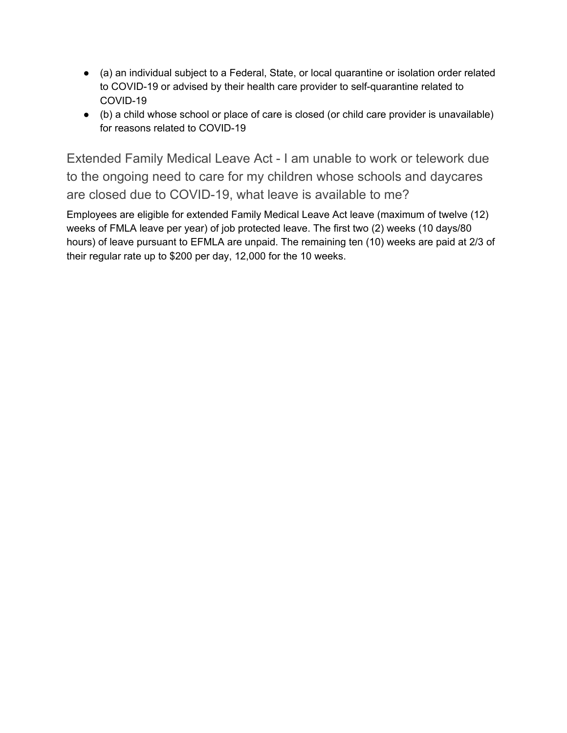- (a) an individual subject to a Federal, State, or local quarantine or isolation order related to COVID-19 or advised by their health care provider to self-quarantine related to COVID-19
- (b) a child whose school or place of care is closed (or child care provider is unavailable) for reasons related to COVID-19

<span id="page-46-0"></span>Extended Family Medical Leave Act - I am unable to work or telework due to the ongoing need to care for my children whose schools and daycares are closed due to COVID-19, what leave is available to me?

Employees are eligible for extended Family Medical Leave Act leave (maximum of twelve (12) weeks of FMLA leave per year) of job protected leave. The first two (2) weeks (10 days/80 hours) of leave pursuant to EFMLA are unpaid. The remaining ten (10) weeks are paid at 2/3 of their regular rate up to \$200 per day, 12,000 for the 10 weeks.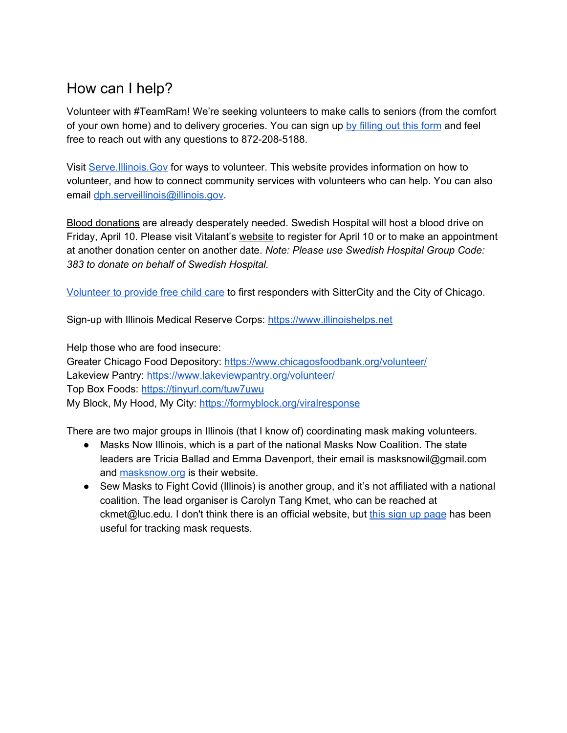# <span id="page-47-0"></span>How can I help?

Volunteer with #TeamRam! We're seeking volunteers to make calls to seniors (from the comfort of your own home) and to delivery groceries. You can sign up by [filling](https://docs.google.com/a/senatorram.com/forms/d/1sxBpTWaSdPu4ghTRx3ojMGRvpkaWy7FN_4I5AdTcX6w/edit?usp=drive_web) out this form and feel free to reach out with any questions to 872-208-5188.

Visit [Serve.Illinois.Gov](http://serve.illinois.gov/) for ways to volunteer. This website provides information on how to volunteer, and how to connect community services with volunteers who can help. You can also email [dph.serveillinois@illinois.gov.](mailto:dph.serveillinois@illinois.gov)

Blood donations are already desperately needed. Swedish Hospital will host a blood drive on Friday, April 10. Please visit Vitalant's [website](https://swedishcovenant.us2.list-manage.com/track/click?u=9f95e529df7dd636fc27c4a5a&id=88d9ccdd24&e=6e447cb05b) to register for April 10 or to make an appointment at another donation center on another date. *Note: Please use Swedish Hospital Group Code: 383 to donate on behalf of Swedish Hospital.*

[Volunteer](https://family.sittercity.com/chicagoresponds/) to provide free child care to first responders with SitterCity and the City of Chicago.

Sign-up with Illinois Medical Reserve Corps: [https://www.illinoishelps.net](https://www.illinoishelps.net/)

Help those who are food insecure:

Greater Chicago Food Depository: <https://www.chicagosfoodbank.org/volunteer/> Lakeview Pantry: <https://www.lakeviewpantry.org/volunteer/> Top Box Foods: <https://tinyurl.com/tuw7uwu> My Block, My Hood, My City: <https://formyblock.org/viralresponse>

There are two major groups in Illinois (that I know of) coordinating mask making volunteers.

- Masks Now Illinois, which is a part of the national Masks Now Coalition. The state leaders are Tricia Ballad and Emma Davenport, their email is masksnowil@gmail.com and [masksnow.org](http://masksnow.org/) is their website.
- Sew Masks to Fight Covid (Illinois) is another group, and it's not affiliated with a national coalition. The lead organiser is Carolyn Tang Kmet, who can be reached at ckmet@luc.edu. I don't think there is an official website, but this sign up [page](https://signup.com/Group/377025201991670015/?fbclid=IwAR0EELwQYXJxGmap0L7ht1wjhYA90Db4neTWbBESaQ-dEGOKO4JVYUL0A64) has been useful for tracking mask requests.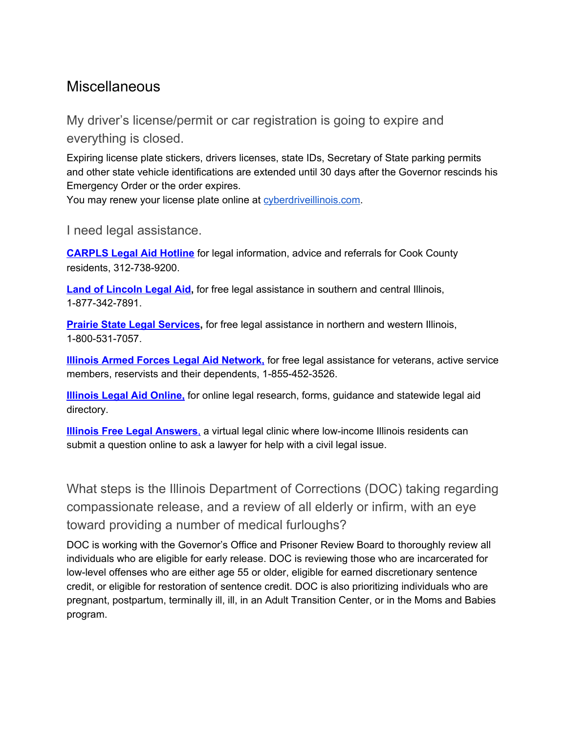# <span id="page-48-0"></span>**Miscellaneous**

<span id="page-48-1"></span>My driver's license/permit or car registration is going to expire and everything is closed.

Expiring license plate stickers, drivers licenses, state IDs, Secretary of State parking permits and other state vehicle identifications are extended until 30 days after the Governor rescinds his Emergency Order or the order expires.

<span id="page-48-2"></span>You may renew your license plate online at [cyberdriveillinois.com](http://cyberdriveillinois.com/).

I need legal assistance.

**[CARPLS](http://www.carpls.org/programs/hotline/) Legal Aid Hotline** for legal information, advice and referrals for Cook County residents, 312-738-9200.

**Land of [Lincoln](http://www.lincolnlegal.org/) Legal Aid,** for free legal assistance in southern and central Illinois, 1-877-342-7891.

**Prairie State Legal [Services](http://www.pslegal.org/),** for free legal assistance in northern and western Illinois, 1-800-531-7057.

**Illinois Armed Forces Legal Aid [Network,](http://ilaflan.org/)** for free legal assistance for veterans, active service members, reservists and their dependents, 1-855-452-3526.

**[Illinois](http://www.illinoislegalaid.org/) Legal Aid Online,** for online legal research, forms, guidance and statewide legal aid directory.

**Illinois Free Legal [Answers](http://pili.org/pro-bono/legal-answers)**, a virtual legal clinic where low-income Illinois residents can submit a question online to ask a lawyer for help with a civil legal issue.

<span id="page-48-3"></span>What steps is the Illinois Department of Corrections (DOC) taking regarding compassionate release, and a review of all elderly or infirm, with an eye toward providing a number of medical furloughs?

DOC is working with the Governor's Office and Prisoner Review Board to thoroughly review all individuals who are eligible for early release. DOC is reviewing those who are incarcerated for low-level offenses who are either age 55 or older, eligible for earned discretionary sentence credit, or eligible for restoration of sentence credit. DOC is also prioritizing individuals who are pregnant, postpartum, terminally ill, ill, in an Adult Transition Center, or in the Moms and Babies program.